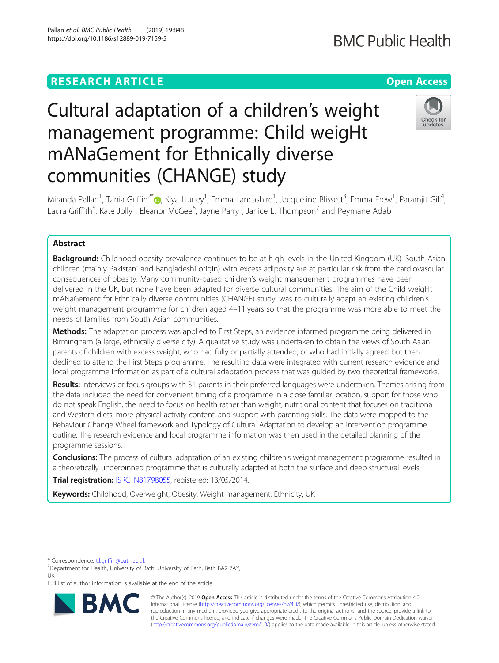### **RESEARCH ARTICLE Example 2014 12:30 The Contract of Contract ACCESS**

# **BMC Public Health**

# Cultural adaptation of a children's weight management programme: Child weigHt mANaGement for Ethnically diverse communities (CHANGE) study



Miranda Pallan<sup>1</sup>, Tania Griffin<sup>2[\\*](http://orcid.org/0000-0003-0146-4440)</sup>®, Kiya Hurley<sup>1</sup>, Emma Lancashire<sup>1</sup>, Jacqueline Blissett<sup>3</sup>, Emma Frew<sup>1</sup>, Paramjit Gill<sup>4</sup> , Laura Griffith<sup>5</sup>, Kate Jolly<sup>1</sup>, Eleanor McGee<sup>6</sup>, Jayne Parry<sup>1</sup>, Janice L. Thompson<sup>7</sup> and Peymane Adab<sup>1</sup>

### Abstract

**Background:** Childhood obesity prevalence continues to be at high levels in the United Kingdom (UK). South Asian children (mainly Pakistani and Bangladeshi origin) with excess adiposity are at particular risk from the cardiovascular consequences of obesity. Many community-based children's weight management programmes have been delivered in the UK, but none have been adapted for diverse cultural communities. The aim of the Child weigHt mANaGement for Ethnically diverse communities (CHANGE) study, was to culturally adapt an existing children's weight management programme for children aged 4–11 years so that the programme was more able to meet the needs of families from South Asian communities.

Methods: The adaptation process was applied to First Steps, an evidence informed programme being delivered in Birmingham (a large, ethnically diverse city). A qualitative study was undertaken to obtain the views of South Asian parents of children with excess weight, who had fully or partially attended, or who had initially agreed but then declined to attend the First Steps programme. The resulting data were integrated with current research evidence and local programme information as part of a cultural adaptation process that was guided by two theoretical frameworks.

Results: Interviews or focus groups with 31 parents in their preferred languages were undertaken. Themes arising from the data included the need for convenient timing of a programme in a close familiar location, support for those who do not speak English, the need to focus on health rather than weight, nutritional content that focuses on traditional and Western diets, more physical activity content, and support with parenting skills. The data were mapped to the Behaviour Change Wheel framework and Typology of Cultural Adaptation to develop an intervention programme outline. The research evidence and local programme information was then used in the detailed planning of the programme sessions.

Conclusions: The process of cultural adaptation of an existing children's weight management programme resulted in a theoretically underpinned programme that is culturally adapted at both the surface and deep structural levels.

Trial registration: [ISRCTN81798055,](http://www.isrctn.com/ISRCTN81798055) registered: 13/05/2014.

Keywords: Childhood, Overweight, Obesity, Weight management, Ethnicity, UK

\* Correspondence: [t.l.griffin@bath.ac.uk](mailto:t.l.griffin@bath.ac.uk) <sup>2</sup>

Department for Health, University of Bath, University of Bath, Bath BA2 7AY, UK

Full list of author information is available at the end of the article



© The Author(s). 2019 Open Access This article is distributed under the terms of the Creative Commons Attribution 4.0 International License [\(http://creativecommons.org/licenses/by/4.0/](http://creativecommons.org/licenses/by/4.0/)), which permits unrestricted use, distribution, and reproduction in any medium, provided you give appropriate credit to the original author(s) and the source, provide a link to the Creative Commons license, and indicate if changes were made. The Creative Commons Public Domain Dedication waiver [\(http://creativecommons.org/publicdomain/zero/1.0/](http://creativecommons.org/publicdomain/zero/1.0/)) applies to the data made available in this article, unless otherwise stated.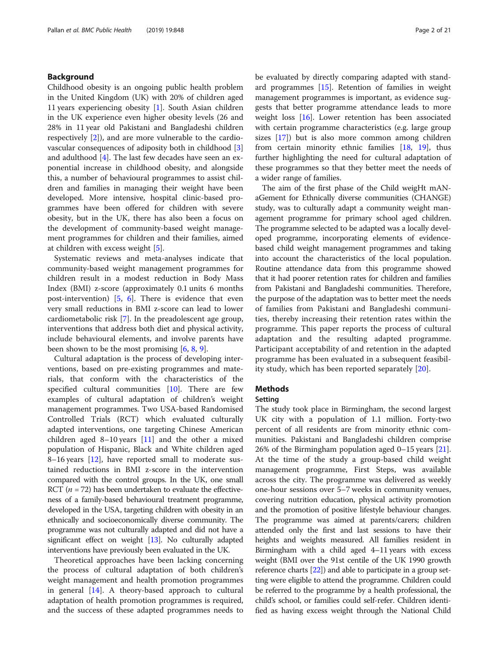#### Background

Childhood obesity is an ongoing public health problem in the United Kingdom (UK) with 20% of children aged 11 years experiencing obesity [\[1](#page-19-0)]. South Asian children in the UK experience even higher obesity levels (26 and 28% in 11 year old Pakistani and Bangladeshi children respectively [[2\]](#page-19-0)), and are more vulnerable to the cardiovascular consequences of adiposity both in childhood [\[3](#page-19-0)] and adulthood [\[4\]](#page-19-0). The last few decades have seen an exponential increase in childhood obesity, and alongside this, a number of behavioural programmes to assist children and families in managing their weight have been developed. More intensive, hospital clinic-based programmes have been offered for children with severe obesity, but in the UK, there has also been a focus on the development of community-based weight management programmes for children and their families, aimed at children with excess weight [[5\]](#page-19-0).

Systematic reviews and meta-analyses indicate that community-based weight management programmes for children result in a modest reduction in Body Mass Index (BMI) z-score (approximately 0.1 units 6 months post-intervention) [\[5](#page-19-0), [6\]](#page-19-0). There is evidence that even very small reductions in BMI z-score can lead to lower cardiometabolic risk [[7](#page-19-0)]. In the preadolescent age group, interventions that address both diet and physical activity, include behavioural elements, and involve parents have been shown to be the most promising [\[6](#page-19-0), [8](#page-19-0), [9](#page-19-0)].

Cultural adaptation is the process of developing interventions, based on pre-existing programmes and materials, that conform with the characteristics of the specified cultural communities  $[10]$  $[10]$ . There are few examples of cultural adaptation of children's weight management programmes. Two USA-based Randomised Controlled Trials (RCT) which evaluated culturally adapted interventions, one targeting Chinese American children aged  $8-10$  years  $[11]$  $[11]$  and the other a mixed population of Hispanic, Black and White children aged 8–16 years [[12\]](#page-19-0), have reported small to moderate sustained reductions in BMI z-score in the intervention compared with the control groups. In the UK, one small RCT ( $n = 72$ ) has been undertaken to evaluate the effectiveness of a family-based behavioural treatment programme, developed in the USA, targeting children with obesity in an ethnically and socioeconomically diverse community. The programme was not culturally adapted and did not have a significant effect on weight [\[13\]](#page-19-0). No culturally adapted interventions have previously been evaluated in the UK.

Theoretical approaches have been lacking concerning the process of cultural adaptation of both children's weight management and health promotion programmes in general [\[14\]](#page-19-0). A theory-based approach to cultural adaptation of health promotion programmes is required, and the success of these adapted programmes needs to be evaluated by directly comparing adapted with standard programmes [\[15\]](#page-19-0). Retention of families in weight management programmes is important, as evidence suggests that better programme attendance leads to more weight loss [\[16](#page-19-0)]. Lower retention has been associated with certain programme characteristics (e.g. large group sizes [[17\]](#page-19-0)) but is also more common among children from certain minority ethnic families [[18](#page-19-0), [19](#page-19-0)], thus further highlighting the need for cultural adaptation of these programmes so that they better meet the needs of a wider range of families.

The aim of the first phase of the Child weigHt mANaGement for Ethnically diverse communities (CHANGE) study, was to culturally adapt a community weight management programme for primary school aged children. The programme selected to be adapted was a locally developed programme, incorporating elements of evidencebased child weight management programmes and taking into account the characteristics of the local population. Routine attendance data from this programme showed that it had poorer retention rates for children and families from Pakistani and Bangladeshi communities. Therefore, the purpose of the adaptation was to better meet the needs of families from Pakistani and Bangladeshi communities, thereby increasing their retention rates within the programme. This paper reports the process of cultural adaptation and the resulting adapted programme. Participant acceptability of and retention in the adapted programme has been evaluated in a subsequent feasibility study, which has been reported separately [[20\]](#page-19-0).

#### Methods

#### Setting

The study took place in Birmingham, the second largest UK city with a population of 1.1 million. Forty-two percent of all residents are from minority ethnic communities. Pakistani and Bangladeshi children comprise 26% of the Birmingham population aged 0–15 years [\[21](#page-19-0)]. At the time of the study a group-based child weight management programme, First Steps, was available across the city. The programme was delivered as weekly one-hour sessions over 5–7 weeks in community venues, covering nutrition education, physical activity promotion and the promotion of positive lifestyle behaviour changes. The programme was aimed at parents/carers; children attended only the first and last sessions to have their heights and weights measured. All families resident in Birmingham with a child aged 4–11 years with excess weight (BMI over the 91st centile of the UK 1990 growth reference charts [\[22\]](#page-19-0)) and able to participate in a group setting were eligible to attend the programme. Children could be referred to the programme by a health professional, the child's school, or families could self-refer. Children identified as having excess weight through the National Child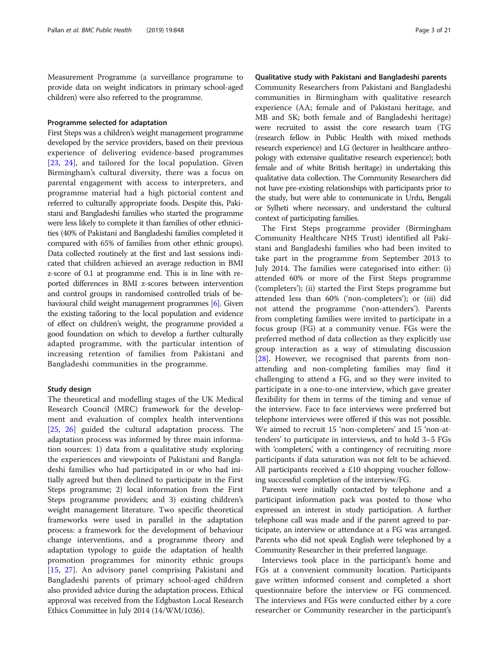Measurement Programme (a surveillance programme to provide data on weight indicators in primary school-aged children) were also referred to the programme.

#### Programme selected for adaptation

First Steps was a children's weight management programme developed by the service providers, based on their previous experience of delivering evidence-based programmes [[23,](#page-19-0) [24](#page-19-0)], and tailored for the local population. Given Birmingham's cultural diversity, there was a focus on parental engagement with access to interpreters, and programme material had a high pictorial content and referred to culturally appropriate foods. Despite this, Pakistani and Bangladeshi families who started the programme were less likely to complete it than families of other ethnicities (40% of Pakistani and Bangladeshi families completed it compared with 65% of families from other ethnic groups). Data collected routinely at the first and last sessions indicated that children achieved an average reduction in BMI z-score of 0.1 at programme end. This is in line with reported differences in BMI z-scores between intervention and control groups in randomised controlled trials of behavioural child weight management programmes [[6](#page-19-0)]. Given the existing tailoring to the local population and evidence of effect on children's weight, the programme provided a good foundation on which to develop a further culturally adapted programme, with the particular intention of increasing retention of families from Pakistani and Bangladeshi communities in the programme.

#### Study design

The theoretical and modelling stages of the UK Medical Research Council (MRC) framework for the development and evaluation of complex health interventions [[25,](#page-19-0) [26\]](#page-19-0) guided the cultural adaptation process. The adaptation process was informed by three main information sources: 1) data from a qualitative study exploring the experiences and viewpoints of Pakistani and Bangladeshi families who had participated in or who had initially agreed but then declined to participate in the First Steps programme; 2) local information from the First Steps programme providers; and 3) existing children's weight management literature. Two specific theoretical frameworks were used in parallel in the adaptation process: a framework for the development of behaviour change interventions, and a programme theory and adaptation typology to guide the adaptation of health promotion programmes for minority ethnic groups [[15,](#page-19-0) [27](#page-19-0)]. An advisory panel comprising Pakistani and Bangladeshi parents of primary school-aged children also provided advice during the adaptation process. Ethical approval was received from the Edgbaston Local Research Ethics Committee in July 2014 (14/WM/1036).

#### Qualitative study with Pakistani and Bangladeshi parents

Community Researchers from Pakistani and Bangladeshi communities in Birmingham with qualitative research experience (AA; female and of Pakistani heritage, and MB and SK; both female and of Bangladeshi heritage) were recruited to assist the core research team (TG (research fellow in Public Health with mixed methods research experience) and LG (lecturer in healthcare anthropology with extensive qualitative research experience); both female and of white British heritage) in undertaking this qualitative data collection. The Community Researchers did not have pre-existing relationships with participants prior to the study, but were able to communicate in Urdu, Bengali or Sylheti where necessary, and understand the cultural context of participating families.

The First Steps programme provider (Birmingham Community Healthcare NHS Trust) identified all Pakistani and Bangladeshi families who had been invited to take part in the programme from September 2013 to July 2014. The families were categorised into either: (i) attended 60% or more of the First Steps programme ('completers'); (ii) started the First Steps programme but attended less than 60% ('non-completers'); or (iii) did not attend the programme ('non-attenders'). Parents from completing families were invited to participate in a focus group (FG) at a community venue. FGs were the preferred method of data collection as they explicitly use group interaction as a way of stimulating discussion [[28\]](#page-19-0). However, we recognised that parents from nonattending and non-completing families may find it challenging to attend a FG, and so they were invited to participate in a one-to-one interview, which gave greater flexibility for them in terms of the timing and venue of the interview. Face to face interviews were preferred but telephone interviews were offered if this was not possible. We aimed to recruit 15 'non-completers' and 15 'non-attenders' to participate in interviews, and to hold 3–5 FGs with 'completers', with a contingency of recruiting more participants if data saturation was not felt to be achieved. All participants received a £10 shopping voucher following successful completion of the interview/FG.

Parents were initially contacted by telephone and a participant information pack was posted to those who expressed an interest in study participation. A further telephone call was made and if the parent agreed to participate, an interview or attendance at a FG was arranged. Parents who did not speak English were telephoned by a Community Researcher in their preferred language.

Interviews took place in the participant's home and FGs at a convenient community location. Participants gave written informed consent and completed a short questionnaire before the interview or FG commenced. The interviews and FGs were conducted either by a core researcher or Community researcher in the participant's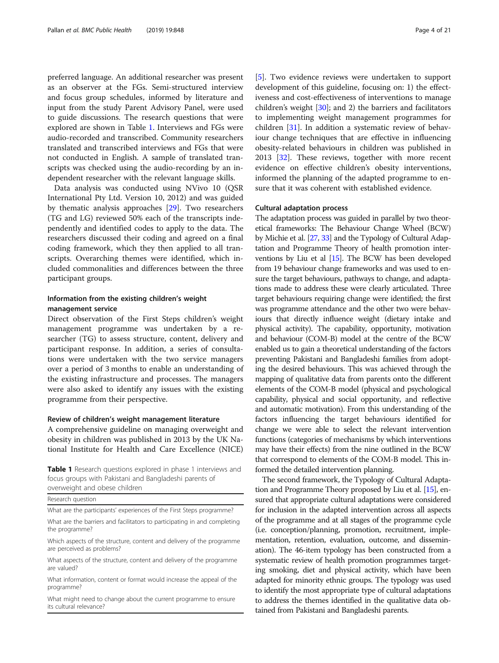preferred language. An additional researcher was present as an observer at the FGs. Semi-structured interview and focus group schedules, informed by literature and input from the study Parent Advisory Panel, were used to guide discussions. The research questions that were explored are shown in Table 1. Interviews and FGs were audio-recorded and transcribed. Community researchers translated and transcribed interviews and FGs that were not conducted in English. A sample of translated transcripts was checked using the audio-recording by an independent researcher with the relevant language skills.

Data analysis was conducted using NVivo 10 (QSR International Pty Ltd. Version 10, 2012) and was guided by thematic analysis approaches [\[29](#page-19-0)]. Two researchers (TG and LG) reviewed 50% each of the transcripts independently and identified codes to apply to the data. The researchers discussed their coding and agreed on a final coding framework, which they then applied to all transcripts. Overarching themes were identified, which included commonalities and differences between the three participant groups.

#### Information from the existing children's weight management service

Direct observation of the First Steps children's weight management programme was undertaken by a researcher (TG) to assess structure, content, delivery and participant response. In addition, a series of consultations were undertaken with the two service managers over a period of 3 months to enable an understanding of the existing infrastructure and processes. The managers were also asked to identify any issues with the existing programme from their perspective.

#### Review of children's weight management literature

A comprehensive guideline on managing overweight and obesity in children was published in 2013 by the UK National Institute for Health and Care Excellence (NICE)

Table 1 Research questions explored in phase 1 interviews and focus groups with Pakistani and Bangladeshi parents of overweight and obese children

Research question

What are the participants' experiences of the First Steps programme?

What are the barriers and facilitators to participating in and completing the programme?

Which aspects of the structure, content and delivery of the programme are perceived as problems?

What aspects of the structure, content and delivery of the programme are valued?

What information, content or format would increase the appeal of the programme?

What might need to change about the current programme to ensure its cultural relevance?

[[5\]](#page-19-0). Two evidence reviews were undertaken to support development of this guideline, focusing on: 1) the effectiveness and cost-effectiveness of interventions to manage children's weight [[30\]](#page-20-0); and 2) the barriers and facilitators to implementing weight management programmes for children [\[31](#page-20-0)]. In addition a systematic review of behaviour change techniques that are effective in influencing obesity-related behaviours in children was published in 2013 [\[32](#page-20-0)]. These reviews, together with more recent evidence on effective children's obesity interventions, informed the planning of the adapted programme to ensure that it was coherent with established evidence.

#### Cultural adaptation process

The adaptation process was guided in parallel by two theoretical frameworks: The Behaviour Change Wheel (BCW) by Michie et al. [\[27](#page-19-0), [33](#page-20-0)] and the Typology of Cultural Adaptation and Programme Theory of health promotion interventions by Liu et al [[15](#page-19-0)]. The BCW has been developed from 19 behaviour change frameworks and was used to ensure the target behaviours, pathways to change, and adaptations made to address these were clearly articulated. Three target behaviours requiring change were identified; the first was programme attendance and the other two were behaviours that directly influence weight (dietary intake and physical activity). The capability, opportunity, motivation and behaviour (COM-B) model at the centre of the BCW enabled us to gain a theoretical understanding of the factors preventing Pakistani and Bangladeshi families from adopting the desired behaviours. This was achieved through the mapping of qualitative data from parents onto the different elements of the COM-B model (physical and psychological capability, physical and social opportunity, and reflective and automatic motivation). From this understanding of the factors influencing the target behaviours identified for change we were able to select the relevant intervention functions (categories of mechanisms by which interventions may have their effects) from the nine outlined in the BCW that correspond to elements of the COM-B model. This informed the detailed intervention planning.

The second framework, the Typology of Cultural Adaptation and Programme Theory proposed by Liu et al. [[15](#page-19-0)], ensured that appropriate cultural adaptations were considered for inclusion in the adapted intervention across all aspects of the programme and at all stages of the programme cycle (i.e. conception/planning, promotion, recruitment, implementation, retention, evaluation, outcome, and dissemination). The 46-item typology has been constructed from a systematic review of health promotion programmes targeting smoking, diet and physical activity, which have been adapted for minority ethnic groups. The typology was used to identify the most appropriate type of cultural adaptations to address the themes identified in the qualitative data obtained from Pakistani and Bangladeshi parents.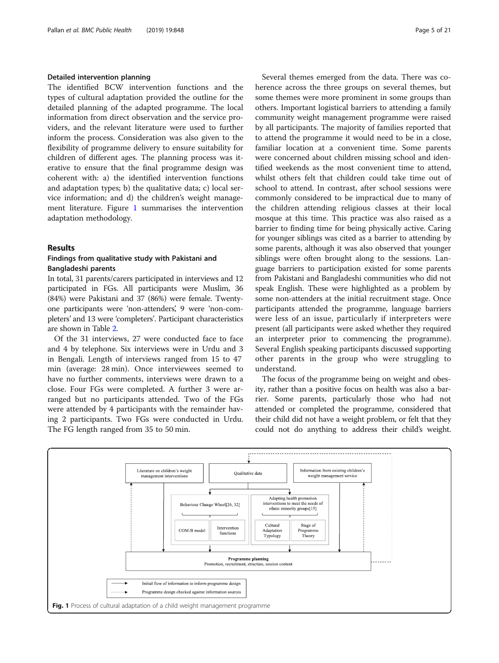#### Detailed intervention planning

The identified BCW intervention functions and the types of cultural adaptation provided the outline for the detailed planning of the adapted programme. The local information from direct observation and the service providers, and the relevant literature were used to further inform the process. Consideration was also given to the flexibility of programme delivery to ensure suitability for children of different ages. The planning process was iterative to ensure that the final programme design was coherent with: a) the identified intervention functions and adaptation types; b) the qualitative data; c) local service information; and d) the children's weight management literature. Figure 1 summarises the intervention adaptation methodology.

#### Results

#### Findings from qualitative study with Pakistani and Bangladeshi parents

In total, 31 parents/carers participated in interviews and 12 participated in FGs. All participants were Muslim, 36 (84%) were Pakistani and 37 (86%) were female. Twentyone participants were 'non-attenders', 9 were 'non-completers' and 13 were 'completers'. Participant characteristics are shown in Table [2.](#page-5-0)

Of the 31 interviews, 27 were conducted face to face and 4 by telephone. Six interviews were in Urdu and 3 in Bengali. Length of interviews ranged from 15 to 47 min (average: 28 min). Once interviewees seemed to have no further comments, interviews were drawn to a close. Four FGs were completed. A further 3 were arranged but no participants attended. Two of the FGs were attended by 4 participants with the remainder having 2 participants. Two FGs were conducted in Urdu. The FG length ranged from 35 to 50 min.

Several themes emerged from the data. There was coherence across the three groups on several themes, but some themes were more prominent in some groups than others. Important logistical barriers to attending a family community weight management programme were raised by all participants. The majority of families reported that to attend the programme it would need to be in a close, familiar location at a convenient time. Some parents were concerned about children missing school and identified weekends as the most convenient time to attend, whilst others felt that children could take time out of school to attend. In contrast, after school sessions were commonly considered to be impractical due to many of the children attending religious classes at their local mosque at this time. This practice was also raised as a barrier to finding time for being physically active. Caring for younger siblings was cited as a barrier to attending by some parents, although it was also observed that younger siblings were often brought along to the sessions. Language barriers to participation existed for some parents from Pakistani and Bangladeshi communities who did not speak English. These were highlighted as a problem by some non-attenders at the initial recruitment stage. Once participants attended the programme, language barriers were less of an issue, particularly if interpreters were present (all participants were asked whether they required an interpreter prior to commencing the programme). Several English speaking participants discussed supporting other parents in the group who were struggling to understand.

The focus of the programme being on weight and obesity, rather than a positive focus on health was also a barrier. Some parents, particularly those who had not attended or completed the programme, considered that their child did not have a weight problem, or felt that they could not do anything to address their child's weight.

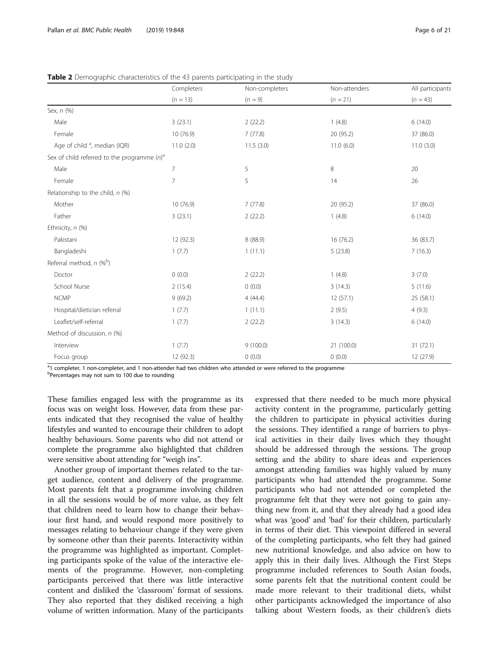|                                                | Completers     | Non-completers | Non-attenders | All participants |
|------------------------------------------------|----------------|----------------|---------------|------------------|
|                                                | $(n = 13)$     | $(n = 9)$      | $(n = 21)$    | $(n = 43)$       |
| Sex, n (%)                                     |                |                |               |                  |
| Male                                           | 3(23.1)        | 2(22.2)        | 1(4.8)        | 6(14.0)          |
| Female                                         | 10 (76.9)      | 7(77.8)        | 20 (95.2)     | 37 (86.0)        |
| Age of child <sup>a</sup> , median (IQR)       | 11.0(2.0)      | 11.5(3.0)      | 11.0(6.0)     | 11.0(3.0)        |
| Sex of child referred to the programme $(n)^a$ |                |                |               |                  |
| Male                                           | $\overline{7}$ | 5              | 8             | 20               |
| Female                                         | $\overline{7}$ | 5              | 14            | 26               |
| Relationship to the child, $n$ (%)             |                |                |               |                  |
| Mother                                         | 10 (76.9)      | 7(77.8)        | 20 (95.2)     | 37 (86.0)        |
| Father                                         | 3(23.1)        | 2(22.2)        | 1(4.8)        | 6(14.0)          |
| Ethnicity, n (%)                               |                |                |               |                  |
| Pakistani                                      | 12 (92.3)      | 8 (88.9)       | 16 (76.2)     | 36 (83.7)        |
| Bangladeshi                                    | 1(7.7)         | 1(11.1)        | 5(23.8)       | 7(16.3)          |
| Referral method, n (%b)                        |                |                |               |                  |
| Doctor                                         | 0(0.0)         | 2(22.2)        | 1(4.8)        | 3(7.0)           |
| School Nurse                                   | 2(15.4)        | 0(0.0)         | 3(14.3)       | 5(11.6)          |
| <b>NCMP</b>                                    | 9(69.2)        | 4(44.4)        | 12(57.1)      | 25 (58.1)        |
| Hospital/dietician referral                    | 1(7.7)         | 1(11.1)        | 2(9.5)        | 4(9.3)           |
| Leaflet/self-referral                          | 1(7.7)         | 2(22.2)        | 3(14.3)       | 6(14.0)          |
| Method of discussion, n (%)                    |                |                |               |                  |
| Interview                                      | 1(7.7)         | 9(100.0)       | 21 (100.0)    | 31(72.1)         |
| Focus group                                    | 12 (92.3)      | 0(0.0)         | 0(0.0)        | 12 (27.9)        |

<span id="page-5-0"></span>Table 2 Demographic characteristics of the 43 parents participating in the study

<sup>a</sup>1 completer, 1 non-completer, and 1 non-attender had two children who attended or were referred to the programme

**b**Percentages may not sum to 100 due to rounding

These families engaged less with the programme as its focus was on weight loss. However, data from these parents indicated that they recognised the value of healthy lifestyles and wanted to encourage their children to adopt healthy behaviours. Some parents who did not attend or complete the programme also highlighted that children were sensitive about attending for "weigh ins".

Another group of important themes related to the target audience, content and delivery of the programme. Most parents felt that a programme involving children in all the sessions would be of more value, as they felt that children need to learn how to change their behaviour first hand, and would respond more positively to messages relating to behaviour change if they were given by someone other than their parents. Interactivity within the programme was highlighted as important. Completing participants spoke of the value of the interactive elements of the programme. However, non-completing participants perceived that there was little interactive content and disliked the 'classroom' format of sessions. They also reported that they disliked receiving a high volume of written information. Many of the participants

expressed that there needed to be much more physical activity content in the programme, particularly getting the children to participate in physical activities during the sessions. They identified a range of barriers to physical activities in their daily lives which they thought should be addressed through the sessions. The group setting and the ability to share ideas and experiences amongst attending families was highly valued by many participants who had attended the programme. Some participants who had not attended or completed the programme felt that they were not going to gain anything new from it, and that they already had a good idea what was 'good' and 'bad' for their children, particularly in terms of their diet. This viewpoint differed in several of the completing participants, who felt they had gained new nutritional knowledge, and also advice on how to apply this in their daily lives. Although the First Steps programme included references to South Asian foods, some parents felt that the nutritional content could be made more relevant to their traditional diets, whilst other participants acknowledged the importance of also talking about Western foods, as their children's diets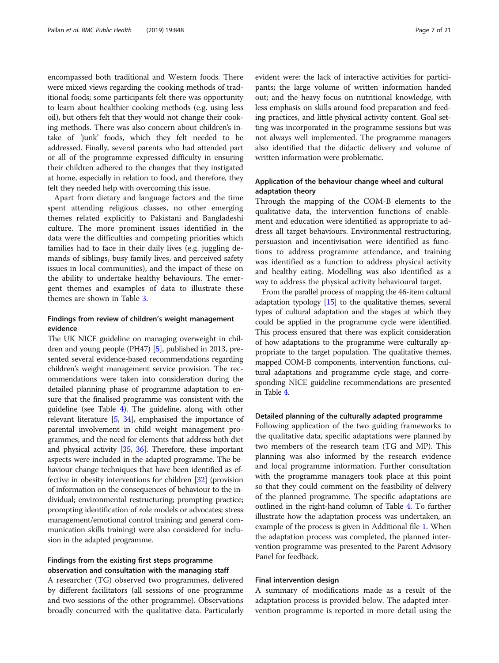encompassed both traditional and Western foods. There were mixed views regarding the cooking methods of traditional foods; some participants felt there was opportunity to learn about healthier cooking methods (e.g. using less oil), but others felt that they would not change their cooking methods. There was also concern about children's intake of 'junk' foods, which they felt needed to be addressed. Finally, several parents who had attended part or all of the programme expressed difficulty in ensuring their children adhered to the changes that they instigated at home, especially in relation to food, and therefore, they felt they needed help with overcoming this issue.

Apart from dietary and language factors and the time spent attending religious classes, no other emerging themes related explicitly to Pakistani and Bangladeshi culture. The more prominent issues identified in the data were the difficulties and competing priorities which families had to face in their daily lives (e.g. juggling demands of siblings, busy family lives, and perceived safety issues in local communities), and the impact of these on the ability to undertake healthy behaviours. The emergent themes and examples of data to illustrate these themes are shown in Table [3.](#page-7-0)

#### Findings from review of children's weight management evidence

The UK NICE guideline on managing overweight in children and young people (PH47) [[5](#page-19-0)], published in 2013, presented several evidence-based recommendations regarding children's weight management service provision. The recommendations were taken into consideration during the detailed planning phase of programme adaptation to ensure that the finalised programme was consistent with the guideline (see Table [4\)](#page-12-0). The guideline, along with other relevant literature [[5,](#page-19-0) [34\]](#page-20-0), emphasised the importance of parental involvement in child weight management programmes, and the need for elements that address both diet and physical activity [\[35,](#page-20-0) [36\]](#page-20-0). Therefore, these important aspects were included in the adapted programme. The behaviour change techniques that have been identified as effective in obesity interventions for children [\[32\]](#page-20-0) (provision of information on the consequences of behaviour to the individual; environmental restructuring; prompting practice; prompting identification of role models or advocates; stress management/emotional control training; and general communication skills training) were also considered for inclusion in the adapted programme.

#### Findings from the existing first steps programme observation and consultation with the managing staff

A researcher (TG) observed two programmes, delivered by different facilitators (all sessions of one programme and two sessions of the other programme). Observations broadly concurred with the qualitative data. Particularly

evident were: the lack of interactive activities for participants; the large volume of written information handed out; and the heavy focus on nutritional knowledge, with less emphasis on skills around food preparation and feeding practices, and little physical activity content. Goal setting was incorporated in the programme sessions but was not always well implemented. The programme managers also identified that the didactic delivery and volume of written information were problematic.

#### Application of the behaviour change wheel and cultural adaptation theory

Through the mapping of the COM-B elements to the qualitative data, the intervention functions of enablement and education were identified as appropriate to address all target behaviours. Environmental restructuring, persuasion and incentivisation were identified as functions to address programme attendance, and training was identified as a function to address physical activity and healthy eating. Modelling was also identified as a way to address the physical activity behavioural target.

From the parallel process of mapping the 46-item cultural adaptation typology [[15](#page-19-0)] to the qualitative themes, several types of cultural adaptation and the stages at which they could be applied in the programme cycle were identified. This process ensured that there was explicit consideration of how adaptations to the programme were culturally appropriate to the target population. The qualitative themes, mapped COM-B components, intervention functions, cultural adaptations and programme cycle stage, and corresponding NICE guideline recommendations are presented in Table [4](#page-12-0).

#### Detailed planning of the culturally adapted programme

Following application of the two guiding frameworks to the qualitative data, specific adaptations were planned by two members of the research team (TG and MP). This planning was also informed by the research evidence and local programme information. Further consultation with the programme managers took place at this point so that they could comment on the feasibility of delivery of the planned programme. The specific adaptations are outlined in the right-hand column of Table [4](#page-12-0). To further illustrate how the adaptation process was undertaken, an example of the process is given in Additional file [1.](#page-18-0) When the adaptation process was completed, the planned intervention programme was presented to the Parent Advisory Panel for feedback.

#### Final intervention design

A summary of modifications made as a result of the adaptation process is provided below. The adapted intervention programme is reported in more detail using the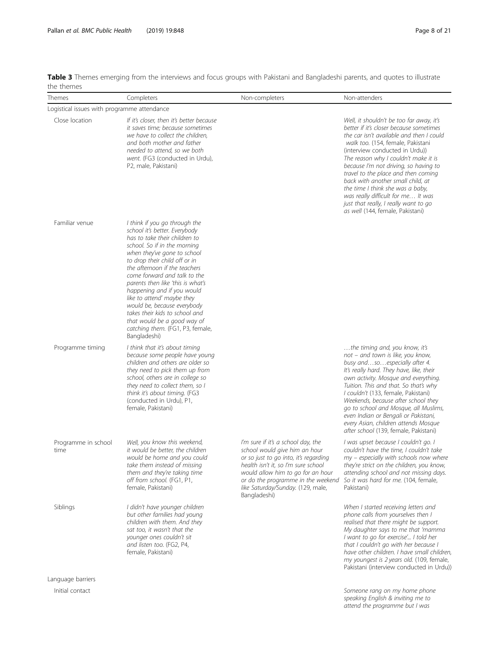<span id="page-7-0"></span>

|            |  |  |  |  |  | Table 3 Themes emerging from the interviews and focus groups with Pakistani and Bangladeshi parents, and quotes to illustrate |  |  |
|------------|--|--|--|--|--|-------------------------------------------------------------------------------------------------------------------------------|--|--|
| the themes |  |  |  |  |  |                                                                                                                               |  |  |

| Themes                                      | Completers                                                                                                                                                                                                                                                                                                                                                                                                                                                                                                            | Non-completers                                                                                                                                                                                                                                                                      | Non-attenders                                                                                                                                                                                                                                                                                                                                                                                                                                                                                                              |
|---------------------------------------------|-----------------------------------------------------------------------------------------------------------------------------------------------------------------------------------------------------------------------------------------------------------------------------------------------------------------------------------------------------------------------------------------------------------------------------------------------------------------------------------------------------------------------|-------------------------------------------------------------------------------------------------------------------------------------------------------------------------------------------------------------------------------------------------------------------------------------|----------------------------------------------------------------------------------------------------------------------------------------------------------------------------------------------------------------------------------------------------------------------------------------------------------------------------------------------------------------------------------------------------------------------------------------------------------------------------------------------------------------------------|
| Logistical issues with programme attendance |                                                                                                                                                                                                                                                                                                                                                                                                                                                                                                                       |                                                                                                                                                                                                                                                                                     |                                                                                                                                                                                                                                                                                                                                                                                                                                                                                                                            |
| Close location                              | If it's closer, then it's better because<br>it saves time; because sometimes<br>we have to collect the children,<br>and both mother and father<br>needed to attend, so we both<br>went. (FG3 (conducted in Urdu),<br>P2, male, Pakistani)                                                                                                                                                                                                                                                                             |                                                                                                                                                                                                                                                                                     | Well, it shouldn't be too far away, it's<br>better if it's closer because sometimes<br>the car isn't available and then I could<br>walk too. (154, female, Pakistani<br>(interview conducted in Urdu))<br>The reason why I couldn't make it is<br>because I'm not driving, so having to<br>travel to the place and then coming<br>back with another small child, at<br>the time I think she was a baby,<br>was really difficult for me It was<br>just that really, I really want to go<br>as well (144, female, Pakistani) |
| Familiar venue                              | I think if you go through the<br>school it's better. Everybody<br>has to take their children to<br>school. So if in the morning<br>when they've gone to school<br>to drop their child off or in<br>the afternoon if the teachers<br>come forward and talk to the<br>parents then like 'this is what's<br>happening and if you would<br>like to attend' maybe they<br>would be, because everybody<br>takes their kids to school and<br>that would be a good way of<br>catching them. (FG1, P3, female,<br>Bangladeshi) |                                                                                                                                                                                                                                                                                     |                                                                                                                                                                                                                                                                                                                                                                                                                                                                                                                            |
| Programme timing                            | I think that it's about timing<br>because some people have young<br>children and others are older so<br>they need to pick them up from<br>school, others are in college so<br>they need to collect them, so I<br>think it's about timing. (FG3<br>(conducted in Urdu), P1,<br>female, Pakistani)                                                                                                                                                                                                                      |                                                                                                                                                                                                                                                                                     | the timing and, you know, it's<br>not - and town is like, you know,<br>busy andsoespecially after 4.<br>It's really hard. They have, like, their<br>own activity. Mosque and everything.<br>Tuition. This and that. So that's why<br>I couldn't (133, female, Pakistani)<br>Weekends, because after school they<br>go to school and Mosque, all Muslims,<br>even Indian or Bengali or Pakistani,<br>every Asian, children attends Mosque<br>after school (139, female, Pakistani)                                          |
| Programme in school<br>time                 | Well, you know this weekend,<br>it would be better, the children<br>would be home and you could<br>take them instead of missing<br>them and they're taking time<br>off from school. (FG1, P1,<br>female, Pakistani)                                                                                                                                                                                                                                                                                                   | I'm sure if it's a school day, the<br>school would give him an hour<br>or so just to go into, it's regarding<br>health isn't it, so I'm sure school<br>would allow him to go for an hour<br>or do the programme in the weekend<br>like Saturday/Sunday. (129, male,<br>Bangladeshi) | I was upset because I couldn't go. I<br>couldn't have the time, I couldn't take<br>my – especially with schools now where<br>they're strict on the children, you know,<br>attending school and not missing days.<br>So it was hard for me. (104, female,<br>Pakistani)                                                                                                                                                                                                                                                     |
| Siblings                                    | I didn't have younger children<br>but other families had young<br>children with them. And they<br>sat too, it wasn't that the<br>younger ones couldn't sit<br>and listen too. (FG2, P4,<br>female, Pakistani)                                                                                                                                                                                                                                                                                                         |                                                                                                                                                                                                                                                                                     | When I started receiving letters and<br>phone calls from yourselves then I<br>realised that there might be support.<br>My daughter says to me that 'mamma<br>I want to go for exercise' I told her<br>that I couldn't go with her because I<br>have other children. I have small children,<br>my youngest is 2 years old. (109, female,<br>Pakistani (interview conducted in Urdu))                                                                                                                                        |
| Language barriers                           |                                                                                                                                                                                                                                                                                                                                                                                                                                                                                                                       |                                                                                                                                                                                                                                                                                     |                                                                                                                                                                                                                                                                                                                                                                                                                                                                                                                            |
| Initial contact                             |                                                                                                                                                                                                                                                                                                                                                                                                                                                                                                                       |                                                                                                                                                                                                                                                                                     | Someone rang on my home phone                                                                                                                                                                                                                                                                                                                                                                                                                                                                                              |

speaking English & inviting me to attend the programme but I was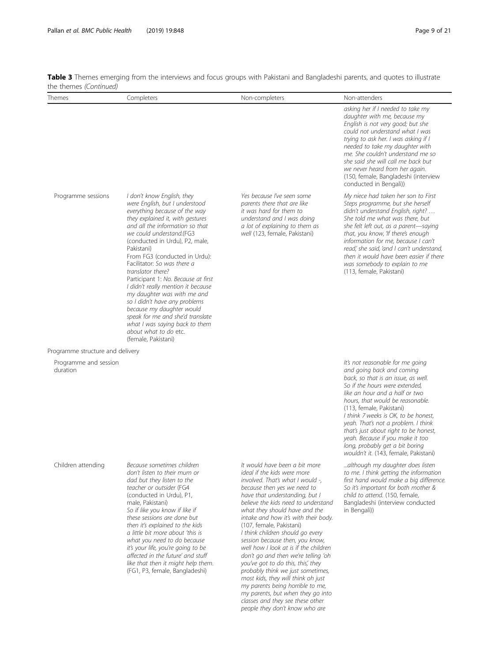| Themes                            | Completers                                                                                                                                                                                                                                                                                                                                                                                                                                                                                                                                                                                                                            | Non-completers                                                                                                                                                                                                                                                                                                                                                                                                                                                                                                                                  | Non-attenders                                                                                                                                                                                                                                                                                                                                                                                                                                                                    |
|-----------------------------------|---------------------------------------------------------------------------------------------------------------------------------------------------------------------------------------------------------------------------------------------------------------------------------------------------------------------------------------------------------------------------------------------------------------------------------------------------------------------------------------------------------------------------------------------------------------------------------------------------------------------------------------|-------------------------------------------------------------------------------------------------------------------------------------------------------------------------------------------------------------------------------------------------------------------------------------------------------------------------------------------------------------------------------------------------------------------------------------------------------------------------------------------------------------------------------------------------|----------------------------------------------------------------------------------------------------------------------------------------------------------------------------------------------------------------------------------------------------------------------------------------------------------------------------------------------------------------------------------------------------------------------------------------------------------------------------------|
|                                   |                                                                                                                                                                                                                                                                                                                                                                                                                                                                                                                                                                                                                                       |                                                                                                                                                                                                                                                                                                                                                                                                                                                                                                                                                 | asking her if I needed to take my<br>daughter with me, because my<br>English is not very good; but she<br>could not understand what I was<br>trying to ask her. I was asking if I<br>needed to take my daughter with<br>me. She couldn't understand me so<br>she said she will call me back but<br>we never heard from her again.<br>(150, female, Bangladeshi (interview<br>conducted in Bengali))                                                                              |
| Programme sessions                | I don't know English, they<br>were English, but I understood<br>everything because of the way<br>they explained it, with gestures<br>and all the information so that<br>we could understand.(FG3<br>(conducted in Urdu), P2, male,<br>Pakistani)<br>From FG3 (conducted in Urdu):<br>Facilitator: So was there a<br>translator there?<br>Participant 1: No. Because at first<br>I didn't really mention it because<br>my daughter was with me and<br>so I didn't have any problems<br>because my daughter would<br>speak for me and she'd translate<br>what I was saying back to them<br>about what to do etc.<br>(female, Pakistani) | Yes because I've seen some<br>parents there that are like<br>it was hard for them to<br>understand and I was doing<br>a lot of explaining to them as<br>well (123, female, Pakistani)                                                                                                                                                                                                                                                                                                                                                           | My niece had taken her son to First<br>Steps programme, but she herself<br>didn't understand English, right?<br>She told me what was there, but<br>she felt left out, as a parent-saying<br>that, you know, 'If there's enough<br>information for me, because I can't<br>read,' she said, 'and I can't understand,<br>then it would have been easier if there<br>was somebody to explain to me<br>(113, female, Pakistani)                                                       |
| Programme structure and delivery  |                                                                                                                                                                                                                                                                                                                                                                                                                                                                                                                                                                                                                                       |                                                                                                                                                                                                                                                                                                                                                                                                                                                                                                                                                 |                                                                                                                                                                                                                                                                                                                                                                                                                                                                                  |
| Programme and session<br>duration |                                                                                                                                                                                                                                                                                                                                                                                                                                                                                                                                                                                                                                       |                                                                                                                                                                                                                                                                                                                                                                                                                                                                                                                                                 | It's not reasonable for me going<br>and going back and coming<br>back, so that is an issue, as well.<br>So if the hours were extended,<br>like an hour and a half or two<br>hours, that would be reasonable.<br>(113, female, Pakistani)<br>I think 7 weeks is OK, to be honest,<br>yeah. That's not a problem. I think<br>that's just about right to be honest,<br>yeah. Because if you make it too<br>long, probably get a bit boring<br>wouldn't it. (143, female, Pakistani) |
| Children attending                | Because sometimes children<br>don't listen to their mum or<br>dad but they listen to the<br>teacher or outsider (FG4<br>(conducted in Urdu), P1,<br>male, Pakistani)<br>So if like you know if like if<br>these sessions are done but<br>then it's explained to the kids<br>a little bit more about 'this is<br>what you need to do because<br>it's your life, you're going to be<br>affected in the future' and stuff<br>like that then it might help them.<br>(FG1, P3, female, Bangladeshi)                                                                                                                                        | It would have been a bit more<br>ideal if the kids were more<br>involved. That's what I would -,<br>because then yes we need to<br>have that understanding, but I<br>believe the kids need to understand<br>what they should have and the<br>intake and how it's with their body.<br>(107, female, Pakistani)<br>I think children should go every<br>session because then, you know,<br>well how I look at is if the children<br>don't go and then we're telling 'oh<br>you've got to do this, this', they<br>probably think we just sometimes, | although my daughter does listen<br>to me. I think getting the information<br>first hand would make a big difference.<br>So it's important for both mother &<br>child to attend. (150, female,<br>Bangladeshi (interview conducted<br>in Bengali))                                                                                                                                                                                                                               |

Table 3 Themes emerging from the interviews and focus groups with Pakistani and Bangladeshi parents, and quotes to illustrate

most kids, they will think oh just my parents being horrible to me, my parents, but when they go into classes and they see these other people they don't know who are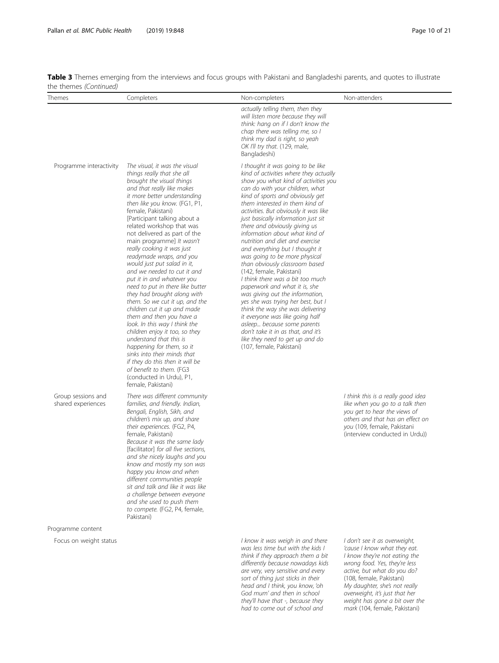Table 3 Themes emerging from the interviews and focus groups with Pakistani and Bangladeshi parents, and quotes to illustrate the themes (Continued)

| Themes                                   | Completers                                                                                                                                                                                                                                                                                                                                                                                                                                                                                                                                                                                                                                                                                                                                                                                                                                                                                                                               | Non-completers                                                                                                                                                                                                                                                                                                                                                                                                                                                                                                                                                                                                                                                                                                                                                                                                                                                                                                 | Non-attenders                                                                                                                                                                                                                                                 |
|------------------------------------------|------------------------------------------------------------------------------------------------------------------------------------------------------------------------------------------------------------------------------------------------------------------------------------------------------------------------------------------------------------------------------------------------------------------------------------------------------------------------------------------------------------------------------------------------------------------------------------------------------------------------------------------------------------------------------------------------------------------------------------------------------------------------------------------------------------------------------------------------------------------------------------------------------------------------------------------|----------------------------------------------------------------------------------------------------------------------------------------------------------------------------------------------------------------------------------------------------------------------------------------------------------------------------------------------------------------------------------------------------------------------------------------------------------------------------------------------------------------------------------------------------------------------------------------------------------------------------------------------------------------------------------------------------------------------------------------------------------------------------------------------------------------------------------------------------------------------------------------------------------------|---------------------------------------------------------------------------------------------------------------------------------------------------------------------------------------------------------------------------------------------------------------|
|                                          |                                                                                                                                                                                                                                                                                                                                                                                                                                                                                                                                                                                                                                                                                                                                                                                                                                                                                                                                          | actually telling them, then they<br>will listen more because they will<br>think: hang on if I don't know the<br>chap there was telling me, so I<br>think my dad is right, so yeah<br>OK I'll try that. (129, male,<br>Bangladeshi)                                                                                                                                                                                                                                                                                                                                                                                                                                                                                                                                                                                                                                                                             |                                                                                                                                                                                                                                                               |
| Programme interactivity                  | The visual, it was the visual<br>things really that she all<br>brought the visual things<br>and that really like makes<br>it more better understanding<br>then like you know. (FG1, P1,<br>female, Pakistani)<br>[Participant talking about a<br>related workshop that was<br>not delivered as part of the<br>main programme] It wasn't<br>really cooking it was just<br>readymade wraps, and you<br>would just put salad in it,<br>and we needed to cut it and<br>put it in and whatever you<br>need to put in there like butter<br>they had brought along with<br>them. So we cut it up, and the<br>children cut it up and made<br>them and then you have a<br>look. In this way I think the<br>children enjoy it too, so they<br>understand that this is<br>happening for them, so it<br>sinks into their minds that<br>if they do this then it will be<br>of benefit to them. (FG3<br>(conducted in Urdu), P1,<br>female, Pakistani) | I thought it was going to be like<br>kind of activities where they actually<br>show you what kind of activities you<br>can do with your children, what<br>kind of sports and obviously get<br>them interested in them kind of<br>activities. But obviously it was like<br>just basically information just sit<br>there and obviously giving us<br>information about what kind of<br>nutrition and diet and exercise<br>and everything but I thought it<br>was going to be more physical<br>than obviously classroom based<br>(142, female, Pakistani)<br>I think there was a bit too much<br>paperwork and what it is, she<br>was giving out the information,<br>yes she was trying her best, but I<br>think the way she was delivering<br>it everyone was like going half<br>asleep because some parents<br>don't take it in as that, and it's<br>like they need to get up and do<br>(107, female, Pakistani) |                                                                                                                                                                                                                                                               |
| Group sessions and<br>shared experiences | There was different community<br>families, and friendly. Indian,<br>Bengali, English, Sikh, and<br>children's mix up, and share<br>their experiences. (FG2, P4,<br>female, Pakistani)<br>Because it was the same lady<br>[facilitator] for all five sections.<br>and she nicely laughs and you<br>know and mostly my son was<br>happy you know and when<br>different communities people<br>sit and talk and like it was like<br>a challenge between everyone<br>and she used to push them<br>to compete. (FG2, P4, female,<br>Pakistani)                                                                                                                                                                                                                                                                                                                                                                                                 |                                                                                                                                                                                                                                                                                                                                                                                                                                                                                                                                                                                                                                                                                                                                                                                                                                                                                                                | I think this is a really good idea<br>like when you go to a talk then<br>you get to hear the views of<br>others and that has an effect on<br>you (109, female, Pakistani<br>(interview conducted in Urdu))                                                    |
| Programme content                        |                                                                                                                                                                                                                                                                                                                                                                                                                                                                                                                                                                                                                                                                                                                                                                                                                                                                                                                                          |                                                                                                                                                                                                                                                                                                                                                                                                                                                                                                                                                                                                                                                                                                                                                                                                                                                                                                                |                                                                                                                                                                                                                                                               |
| Focus on weight status                   |                                                                                                                                                                                                                                                                                                                                                                                                                                                                                                                                                                                                                                                                                                                                                                                                                                                                                                                                          | I know it was weigh in and there<br>was less time but with the kids I<br>think if they approach them a bit<br>differently because nowadays kids<br>are very, very sensitive and every<br>sort of thing just sticks in their<br>head and I think, you know, 'oh<br>God mum' and then in school                                                                                                                                                                                                                                                                                                                                                                                                                                                                                                                                                                                                                  | I don't see it as overweight,<br>'cause I know what they eat.<br>I know they're not eating the<br>wrong food. Yes, they're less<br>active, but what do you do?<br>(108, female, Pakistani)<br>My daughter, she's not really<br>overweight, it's just that her |

they'll have that -, because they had to come out of school and weight has gone a bit over the mark (104, female, Pakistani)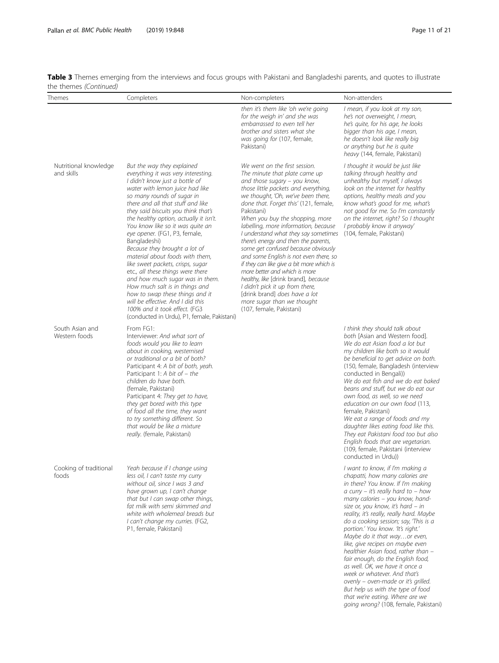healthier Asian food, rather than – fair enough, do the English food, as well. OK, we have it once a week or whatever. And that's ovenly – oven-made or it's grilled. But help us with the type of food that we're eating. Where are we going wrong? (108, female, Pakistani)

| Table 3 Themes emerging from the interviews and focus groups with Pakistani and Bangladeshi parents, and quotes to illustrate |  |  |  |
|-------------------------------------------------------------------------------------------------------------------------------|--|--|--|
| the themes (Continued)                                                                                                        |  |  |  |

| Themes                              | Completers                                                                                                                                                                                                                                                                                                                                                                                                                                                                                                                                                                                                                                                                                                                                                 | Non-completers                                                                                                                                                                                                                                                                                                                                                                                                                                                                                                                                                                                                                                                                                                                      | Non-attenders                                                                                                                                                                                                                                                                                                                                                                                                                                                                                                                                                                                                                                |
|-------------------------------------|------------------------------------------------------------------------------------------------------------------------------------------------------------------------------------------------------------------------------------------------------------------------------------------------------------------------------------------------------------------------------------------------------------------------------------------------------------------------------------------------------------------------------------------------------------------------------------------------------------------------------------------------------------------------------------------------------------------------------------------------------------|-------------------------------------------------------------------------------------------------------------------------------------------------------------------------------------------------------------------------------------------------------------------------------------------------------------------------------------------------------------------------------------------------------------------------------------------------------------------------------------------------------------------------------------------------------------------------------------------------------------------------------------------------------------------------------------------------------------------------------------|----------------------------------------------------------------------------------------------------------------------------------------------------------------------------------------------------------------------------------------------------------------------------------------------------------------------------------------------------------------------------------------------------------------------------------------------------------------------------------------------------------------------------------------------------------------------------------------------------------------------------------------------|
|                                     |                                                                                                                                                                                                                                                                                                                                                                                                                                                                                                                                                                                                                                                                                                                                                            | then it's them like 'oh we're going<br>for the weigh in' and she was<br>embarrassed to even tell her<br>brother and sisters what she<br>was going for (107, female,<br>Pakistani)                                                                                                                                                                                                                                                                                                                                                                                                                                                                                                                                                   | I mean, if you look at my son,<br>he's not overweight, I mean,<br>he's quite, for his age, he looks<br>bigger than his age, I mean,<br>he doesn't look like really big<br>or anything but he is quite<br>heavy (144, female, Pakistani)                                                                                                                                                                                                                                                                                                                                                                                                      |
| Nutritional knowledge<br>and skills | But the way they explained<br>everything it was very interesting.<br>I didn't know just a bottle of<br>water with lemon juice had like<br>so many rounds of sugar in<br>there and all that stuff and like<br>they said biscuits you think that's<br>the healthy option, actually it isn't.<br>You know like so it was quite an<br>eye opener. (FG1, P3, female,<br>Bangladeshi)<br>Because they brought a lot of<br>material about foods with them.<br>like sweet packets, crisps, sugar<br>etc., all these things were there<br>and how much sugar was in them.<br>How much salt is in things and<br>how to swap these things and it<br>will be effective. And I did this<br>100% and it took effect. (FG3<br>(conducted in Urdu), P1, female, Pakistani) | We went on the first session.<br>The minute that plate came up<br>and those sugary - you know,<br>those little packets and everything,<br>we thought, 'Oh, we've been there,<br>done that. Forget this' (121, female,<br>Pakistani)<br>When you buy the shopping, more<br>labelling, more information, because<br>I understand what they say sometimes<br>there's energy and then the parents,<br>some get confused because obviously<br>and some English is not even there, so<br>if they can like give a bit more which is<br>more better and which is more<br>healthy, like [drink brand], because<br>I didn't pick it up from there,<br>[drink brand] does have a lot<br>more sugar than we thought<br>(107, female, Pakistani) | I thought it would be just like<br>talking through healthy and<br>unhealthy but myself, I always<br>look on the internet for healthy<br>options, healthy meals and you<br>know what's good for me, what's<br>not good for me. So I'm constantly<br>on the internet, right? So I thought<br>I probably know it anyway'<br>(104, female, Pakistani)                                                                                                                                                                                                                                                                                            |
| South Asian and<br>Western foods    | From FG1:<br>Interviewer: And what sort of<br>foods would you like to learn<br>about in cooking, westernised<br>or traditional or a bit of both?<br>Participant 4: A bit of both, yeah.<br>Participant 1: A bit of $-$ the<br>children do have both.<br>(female, Pakistani)<br>Participant 4: They get to have,<br>they get bored with this type<br>of food all the time, they want<br>to try something different. So<br>that would be like a mixture<br>really. (female, Pakistani)                                                                                                                                                                                                                                                                       |                                                                                                                                                                                                                                                                                                                                                                                                                                                                                                                                                                                                                                                                                                                                     | I think they should talk about<br>both [Asian and Western food].<br>We do eat Asian food a lot but<br>my children like both so it would<br>be beneficial to get advice on both.<br>(150, female, Bangladesh (interview<br>conducted in Bengali))<br>We do eat fish and we do eat baked<br>beans and stuff, but we do eat our<br>own food, as well, so we need<br>education on our own food (113,<br>female, Pakistani)<br>We eat a range of foods and my<br>daughter likes eating food like this.<br>They eat Pakistani food too but also<br>English foods that are vegetarian.<br>(109, female, Pakistani (interview<br>conducted in Urdu)) |
| Cooking of traditional<br>foods     | Yeah because if I change using<br>less oil, I can't taste my curry<br>without oil, since I was 3 and<br>have grown up, I can't change<br>that but I can swap other things,<br>fat milk with semi skimmed and<br>white with wholemeal breads but<br>I can't change my curries. (FG2,<br>P1, female, Pakistani)                                                                                                                                                                                                                                                                                                                                                                                                                                              |                                                                                                                                                                                                                                                                                                                                                                                                                                                                                                                                                                                                                                                                                                                                     | I want to know, if I'm making a<br>chapatti, how many calories are<br>in there? You know. If I'm making<br>$a$ curry – it's really hard to – how<br>many calories - you know, hand-<br>size or, you know, it's hard - in<br>reality, it's really, really hard. Maybe<br>do a cooking session; say, This is a<br>portion.' You know. 'It's right.'<br>Maybe do it that wayor even,<br>like, give recipes on maybe even                                                                                                                                                                                                                        |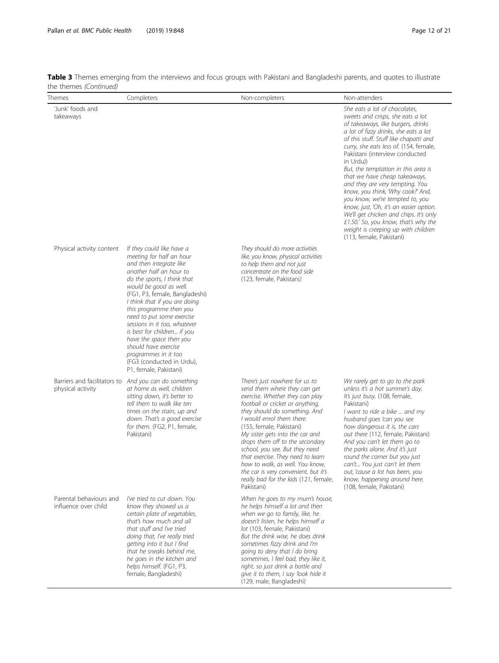| Themes                                            | Completers                                                                                                                                                                                                                                                                                                                                                                                                                                                                                       | Non-completers                                                                                                                                                                                                                                                                                                                                                                                                                                                                                                 | Non-attenders                                                                                                                                                                                                                                                                                                                                                                                                                                                                                                                                                                                                                                                          |
|---------------------------------------------------|--------------------------------------------------------------------------------------------------------------------------------------------------------------------------------------------------------------------------------------------------------------------------------------------------------------------------------------------------------------------------------------------------------------------------------------------------------------------------------------------------|----------------------------------------------------------------------------------------------------------------------------------------------------------------------------------------------------------------------------------------------------------------------------------------------------------------------------------------------------------------------------------------------------------------------------------------------------------------------------------------------------------------|------------------------------------------------------------------------------------------------------------------------------------------------------------------------------------------------------------------------------------------------------------------------------------------------------------------------------------------------------------------------------------------------------------------------------------------------------------------------------------------------------------------------------------------------------------------------------------------------------------------------------------------------------------------------|
| 'Junk' foods and<br>takeaways                     |                                                                                                                                                                                                                                                                                                                                                                                                                                                                                                  |                                                                                                                                                                                                                                                                                                                                                                                                                                                                                                                | She eats a lot of chocolates,<br>sweets and crisps, she eats a lot<br>of takeaways, like burgers, drinks<br>a lot of fizzy drinks, she eats a lot<br>of this stuff. Stuff like chapatti and<br>curry, she eats less of. (154, female,<br>Pakistani (interview conducted<br>in Urdu))<br>But, the temptation in this area is<br>that we have cheap takeaways,<br>and they are very tempting. You<br>know, you think, Why cook?' And,<br>you know, we're tempted to, you<br>know, just, 'Oh, it's an easier option.<br>We'll get chicken and chips. It's only<br>£1.50.' So, you know, that's why the<br>weight is creeping up with children<br>(113, female, Pakistani) |
| Physical activity content                         | If they could like have a<br>meeting for half an hour<br>and then integrate like<br>another half an hour to<br>do the sports, I think that<br>would be good as well.<br>(FG1, P3, female, Bangladeshi)<br>I think that if you are doing<br>this programme then you<br>need to put some exercise<br>sessions in it too, whatever<br>is best for children if you<br>have the space then you<br>should have exercise<br>programmes in it too<br>(FG3 (conducted in Urdu),<br>P1, female, Pakistani) | They should do more activities<br>like, you know, physical activities<br>to help them and not just<br>concentrate on the food side<br>(123, female, Pakistani)                                                                                                                                                                                                                                                                                                                                                 |                                                                                                                                                                                                                                                                                                                                                                                                                                                                                                                                                                                                                                                                        |
| Barriers and facilitators to<br>physical activity | And you can do something<br>at home as well, children<br>sitting down, it's better to<br>tell them to walk like ten<br>times on the stairs, up and<br>down. That's a good exercise<br>for them. (FG2, P1, female,<br>Pakistani)                                                                                                                                                                                                                                                                  | There's just nowhere for us to<br>send them where they can get<br>exercise. Whether they can play<br>football or cricket or anything,<br>they should do something. And<br>I would enrol them there.<br>(155, female, Pakistani)<br>My sister gets into the car and<br>drops them off to the secondary<br>school, you see. But they need<br>that exercise. They need to learn<br>how to walk, as well. You know,<br>the car is very convenient, but it's<br>really bad for the kids (121, female,<br>Pakistani) | We rarely get to go to the park<br>unless it's a hot summer's day.<br>It's just busy. (108, female,<br>Pakistani)<br>I want to ride a bike  and my<br>husband goes 'can you see<br>how dangerous it is, the cars<br>out there (112, female, Pakistani)<br>And you can't let them go to<br>the parks alone. And it's just<br>round the corner but you just<br>can't You just can't let them<br>out, 'cause a lot has been, you<br>know, happening around here.<br>(108, female, Pakistani)                                                                                                                                                                              |
| Parental behaviours and<br>influence over child   | I've tried to cut down. You<br>know they showed us a<br>certain plate of vegetables,<br>that's how much and all<br>that stuff and I've tried<br>doing that, I've really tried<br>getting into it but I find<br>that he sneaks behind me,<br>he goes in the kitchen and<br>helps himself. (FG1, P3,<br>female, Bangladeshi)                                                                                                                                                                       | When he goes to my mum's house,<br>he helps himself a lot and then<br>when we go to family, like, he<br>doesn't listen, he helps himself a<br>lot (103, female, Pakistani)<br>But the drink wise, he does drink<br>sometimes fizzy drink and I'm<br>going to deny that I do bring<br>sometimes, I feel bad, they like it,<br>right, so just drink a bottle and<br>give it to them, I say 'look hide it<br>(129, male, Bangladeshi)                                                                             |                                                                                                                                                                                                                                                                                                                                                                                                                                                                                                                                                                                                                                                                        |

Table 3 Themes emerging from the interviews and focus groups with Pakistani and Bangladeshi parents, and quotes to illustrate the themes (Continued)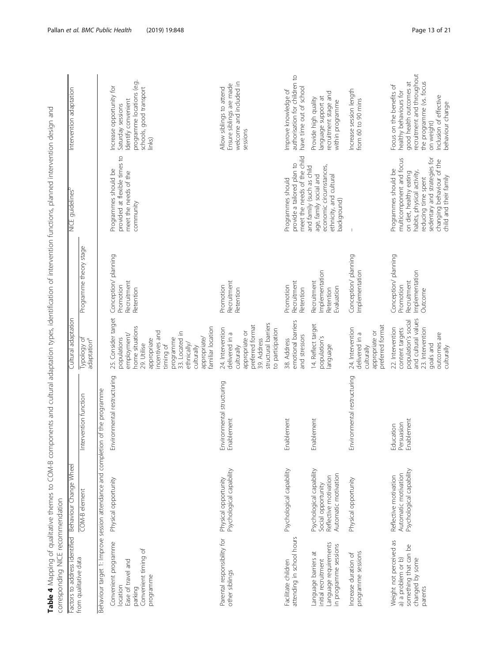<span id="page-12-0"></span>

| corresponding NICE recommendation                                                                      | Table 4 Mapping of qualitative themes to COM-B components and cultural adaptation types, identification of intervention functions, planned intervention design and |                                         |                                                                                                                                                  |                                                                              |                                                                                                                                                                                                                         |                                                                                                                                                                                                     |
|--------------------------------------------------------------------------------------------------------|--------------------------------------------------------------------------------------------------------------------------------------------------------------------|-----------------------------------------|--------------------------------------------------------------------------------------------------------------------------------------------------|------------------------------------------------------------------------------|-------------------------------------------------------------------------------------------------------------------------------------------------------------------------------------------------------------------------|-----------------------------------------------------------------------------------------------------------------------------------------------------------------------------------------------------|
| Factors to address identified                                                                          | Behaviour Change Wheel                                                                                                                                             |                                         | Cultural adaptation                                                                                                                              |                                                                              | NICE guidelines <sup>t</sup>                                                                                                                                                                                            | Intervention adaptation                                                                                                                                                                             |
| from qualitative data                                                                                  | COM-B element                                                                                                                                                      | Intervention function                   | Typology of<br>adaptation <sup>a</sup>                                                                                                           | Programme theory stage                                                       |                                                                                                                                                                                                                         |                                                                                                                                                                                                     |
|                                                                                                        | Behaviour target 1: Improve session attendance and completion of the programme                                                                                     |                                         |                                                                                                                                                  |                                                                              |                                                                                                                                                                                                                         |                                                                                                                                                                                                     |
| Convenient programme<br>Convenient timing of<br>Ease of travel and<br>programme<br>location<br>parking | Physical opportunity                                                                                                                                               | Environmental restructuring             | 25. Consider target<br>home situations<br>incentives and<br>employment/<br>populations<br>appropriate<br>29. Utilise                             | Conception/planning<br>Recruitment<br>Promotion<br>Retention                 | provided at flexible times to<br>Programmes should be<br>meet the needs of the<br>community                                                                                                                             | programme locations (e.g.<br>Increase opportunity for<br>schools, good transport<br>Identify convenient<br>Saturday sessions<br>links)                                                              |
|                                                                                                        |                                                                                                                                                                    |                                         | familiar location<br>33. Located in<br>appropriate/<br>programme<br>ethnically/<br>timing of<br>culturally                                       |                                                                              |                                                                                                                                                                                                                         |                                                                                                                                                                                                     |
| Parental responsibility for<br>other siblings                                                          | Psychological capability<br>Physical opportunity                                                                                                                   | Environmental structuring<br>Enablement | structural barriers<br>preferred format<br>24. Intervention<br>to participation<br>appropriate or<br>delivered in a<br>39. Address<br>culturally | Recruitment<br>Promotion<br>Retention                                        |                                                                                                                                                                                                                         | welcome and included in<br>Ensure siblings are made<br>Allow siblings to attend<br>sessions                                                                                                         |
| attending in school hours<br>Facilitate children                                                       | Psychological capability                                                                                                                                           | Enablement                              | emotional barriers<br>and stressors<br>38. Address                                                                                               | Recruitment<br>Promotion<br>Retention                                        | meet the needs of the child<br>provide a tailored plan to<br>Programmes should                                                                                                                                          | authorisation for children to<br>have time out of school<br>Improve knowledge of                                                                                                                    |
| Language requirements<br>in programme sessions<br>Language barriers at<br>initial recruitment          | Psychological capability<br>Automatic motivation<br>Reflective motivation<br>Social opportunity                                                                    | Enablement                              | 14. Reflect target<br>population's<br>language                                                                                                   | Implementation<br>Recruitment<br>Evaluation<br>Retention                     | and family (such as child<br>economic circumstances,<br>age, family social and<br>ethnicity, and cultural<br>background)                                                                                                | recruitment stage and<br>language support at<br>Provide high quality<br>within programme                                                                                                            |
| programme sessions<br>Increase duration of                                                             | Physical opportunity                                                                                                                                               | Environmental restructuring             | preferred format<br>24. Intervention<br>appropriate or<br>delivered in a<br>culturally                                                           | Conception/planning<br>Implementation                                        |                                                                                                                                                                                                                         | Increase session length<br>from 60 to 90 mins                                                                                                                                                       |
| Weight not perceived as<br>something that can be<br>a) a problem or b)<br>changed by some<br>parents   | Psychological capability<br>Automatic motivation<br>Reflective motivation                                                                                          | Persuasion<br>Enablement<br>Education   | and cultural values<br>population's social<br>23. Intervention<br>22. Intervention<br>content targets<br>outcomes are<br>goals and<br>culturally | Conception/planning<br>Implementation<br>Recruitment<br>Promotion<br>Outcome | sedentary and strategies for<br>multicomponent and focus<br>changing behaviour of the<br>child and their family<br>Programmes should be<br>habits, physical activity,<br>on diet, healthy eating<br>reducing time spent | recruitment and throughout<br>good health outcomes at<br>the programme (vs. focus<br>Focus on the benefits of<br>healthy behaviours for<br>Inclusion of effective<br>behaviour change<br>on weight) |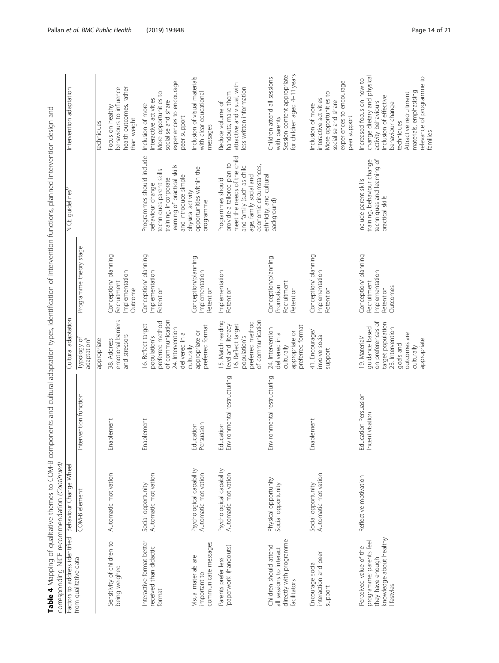| ī<br>$\frac{1}{2}$<br>l                                                                                                             |                         |
|-------------------------------------------------------------------------------------------------------------------------------------|-------------------------|
| 'n,<br>١                                                                                                                            |                         |
| ļ<br>i<br>١<br>$\mathbf{r}$                                                                                                         |                         |
| í<br>ł<br>֖֖֚֚֚֬֕                                                                                                                   |                         |
|                                                                                                                                     |                         |
| I<br>I                                                                                                                              |                         |
| j<br>$\ddot{\bm{z}}$<br>l                                                                                                           |                         |
| $-10+0+50$<br>Ì<br>١                                                                                                                |                         |
|                                                                                                                                     |                         |
| Ī<br>۱<br>Į<br>¢<br>١                                                                                                               |                         |
| S<br>i                                                                                                                              |                         |
|                                                                                                                                     |                         |
| is<br>Co                                                                                                                            |                         |
| ť                                                                                                                                   |                         |
| í<br>ׇ֚֬֕                                                                                                                           |                         |
| į<br>ļ                                                                                                                              |                         |
| I                                                                                                                                   |                         |
| $\ddot{\phantom{0}}$<br>I                                                                                                           |                         |
| ļ<br>l                                                                                                                              |                         |
|                                                                                                                                     |                         |
|                                                                                                                                     |                         |
| $\mathbf$<br>١                                                                                                                      |                         |
| i                                                                                                                                   |                         |
| $2 + i4$                                                                                                                            |                         |
| j<br>1<br>j                                                                                                                         |                         |
| res<br>10es                                                                                                                         |                         |
| Ĩ<br>b                                                                                                                              |                         |
| l<br>.<br>.                                                                                                                         |                         |
| ļ<br>I<br>j                                                                                                                         |                         |
| $-12$<br>j                                                                                                                          |                         |
| ١<br>j<br>Ī<br>j                                                                                                                    |                         |
| Ì<br>١                                                                                                                              |                         |
| $-2$<br>١<br>j                                                                                                                      |                         |
| ,<br>j                                                                                                                              |                         |
| inter 2012<br>j<br>5                                                                                                                |                         |
| j                                                                                                                                   |                         |
| $\frac{1}{2}$                                                                                                                       |                         |
| $\mathbf$<br>l<br>$\frac{1}{2}$<br>S                                                                                                |                         |
| ⋾<br>ׇ֚֓֡<br>I                                                                                                                      |                         |
| ニコン<br>S<br>C<br>C                                                                                                                  |                         |
| $\frac{1}{\alpha}$<br>١                                                                                                             |                         |
| J<br>֦<br>֧֦֦֧֦֦֧֪֦֪֪֦֚֬֝֬֝֬֬֓֓֓֬֝֓֬֝֓֝֬֝֬֝<br>€                                                                                    | ł<br>ěί<br>)<br>Duni    |
| $\mathbf{r}_j$                                                                                                                      | ļ                       |
| í<br>$\overline{\phantom{a}}$                                                                                                       | Ç                       |
| ֧֧ׅׅ֧֧֧֧ׅ֧֧ׅ֧֧ׅ֧֧֧֧֧֧ׅ֧֧֧֧֧֧ׅ֧֧֧֧֧֧֧֧֧֧֧֧֧֧֚֚֚֚֚֚֚֚֚֚֚֚֚֚֚֚֚֚֚֚֚֚֚֚֚֚֚֚֚֚֚֚֚֚֝֡֜֓֓֝֓֓֓֜֓֓֜֝֓֜֓֝֬֝֓֝֬֝֬֝֬֜֝֬֜֜<br>֧֢֧֧֧֧֧֧֧֛֛֪֧֜֜֜֜֜ | I                       |
| l                                                                                                                                   |                         |
|                                                                                                                                     | İ<br>ׇֺ֚֡֡<br>i<br>ׇ֚֕֕ |
|                                                                                                                                     | Ç<br>I                  |
| j<br>$\frac{1}{2}$<br>j                                                                                                             | $\mathbf{I}$<br>Ś       |
| ١                                                                                                                                   | $\frac{1}{2}$<br>)      |
| j                                                                                                                                   | j<br>l                  |
| (<br>र                                                                                                                              | ו<br>ו                  |
| 1                                                                                                                                   |                         |
| ļ<br>S<br>١                                                                                                                         |                         |
|                                                                                                                                     |                         |
|                                                                                                                                     | d                       |
|                                                                                                                                     | j<br>י<br>יינו<br>1     |
|                                                                                                                                     | ֚֘                      |

|                                                                                                                | Table 4 Mapping of qualitative themes to COM-B components and cultural adaptation types, identification of intervention functions, planned intervention design and<br>corresponding NICE recommendation (Continued) |                                          |                                                                                                                                                         |                                                                               |                                                                                                                                                                  |                                                                                                                                                                                                                                          |
|----------------------------------------------------------------------------------------------------------------|---------------------------------------------------------------------------------------------------------------------------------------------------------------------------------------------------------------------|------------------------------------------|---------------------------------------------------------------------------------------------------------------------------------------------------------|-------------------------------------------------------------------------------|------------------------------------------------------------------------------------------------------------------------------------------------------------------|------------------------------------------------------------------------------------------------------------------------------------------------------------------------------------------------------------------------------------------|
| Factors to address identified Behaviour Change Wheel                                                           |                                                                                                                                                                                                                     |                                          | Cultural adaptation                                                                                                                                     |                                                                               | NICE guidelines <sup>E</sup>                                                                                                                                     | Intervention adaptation                                                                                                                                                                                                                  |
| from qualitative data                                                                                          | COM-B element                                                                                                                                                                                                       | ntervention function                     | Typology of<br>adaptation <sup>a</sup>                                                                                                                  | Programme theory stage                                                        |                                                                                                                                                                  |                                                                                                                                                                                                                                          |
|                                                                                                                |                                                                                                                                                                                                                     |                                          | appropriate                                                                                                                                             |                                                                               |                                                                                                                                                                  | techniques                                                                                                                                                                                                                               |
| Sensitivity of children to<br>being weighed                                                                    | Automatic motivation                                                                                                                                                                                                | Enablement                               | emotional barriers<br>and stressors<br>38. Address                                                                                                      | Conception/planning<br>Implementation<br>Recruitment<br>Outcome               |                                                                                                                                                                  | health outcomes, rather<br>behaviours to influence<br>Focus on healthy<br>than weight                                                                                                                                                    |
| Interactive format better<br>received than didactic<br>format                                                  | Automatic motivation<br>Social opportunity                                                                                                                                                                          | Enablement                               | of communication<br>preferred method<br>16. Reflect target<br>24. Intervention<br>delivered in a<br>population's                                        | Conception/planning<br>Implementation<br>Retention                            | Programmes should include<br>earning of practical skills<br>techniques parent skills<br>and introduce simple<br>training, incorporate<br>behaviour change        | experiences to encourage<br>More opportunities to<br>interactive activities<br>socialise and share<br>Inclusion of more<br>peer support                                                                                                  |
| communicate messages<br>Visual materials are<br>important to                                                   | Psychological capability<br>Automatic motivation                                                                                                                                                                    | Persuasion<br>Education                  | preferred format<br>appropriate or<br>culturally                                                                                                        | Conception/planning<br>Implementation<br>Retention                            | opportunities within the<br>physical activity<br>programme                                                                                                       | Inclusion of visual materials<br>with clear educational<br>messages                                                                                                                                                                      |
| paperwork' (handouts)<br>Parents prefer less                                                                   | Psychological capability<br>Automatic motivation                                                                                                                                                                    | Environmental restructuring<br>Education | of communication<br>15. Match reading<br>preferred method<br>16. Reflect target<br>level and literacy<br>population's                                   | Implementation<br>Retention                                                   | meet the needs of the child<br>provide a tailored plan to<br>and family (such as child<br>economic circumstances,<br>age, family social and<br>Programmes should | attractive and visual, with<br>less written information<br>handouts; make them<br>Reduce volume of                                                                                                                                       |
| directly with programme<br>Children should attend<br>all sessions to interact<br><b>facilitators</b>           | Physical opportunity<br>Social opportunity                                                                                                                                                                          | Environmental restructuring              | preferred format<br>24. Intervention<br>appropriate or<br>delivered in a<br>culturally                                                                  | Conception/planning<br>Recruitment<br>Promotion<br>Retention                  | ethnicity, and cultural<br>background)                                                                                                                           | for children aged 4-11 years<br>Session content appropriate<br>Children attend all sessions<br>with parents                                                                                                                              |
| interaction and peer<br>Encourage social<br>support                                                            | Automatic motivation<br>Social opportunity                                                                                                                                                                          | Enablement                               | 41. Encourage/<br>involve social<br>support                                                                                                             | Conception/planning<br>Implementation<br>Retention                            |                                                                                                                                                                  | experiences to encourage<br>S<br>More opportunities<br>interactive activities<br>socialise and share<br>Inclusion of more<br>peer support                                                                                                |
| knowledge about healthy<br>programme; parents feel<br>Perceived value of the<br>they have enough<br>lifestyles | Reflective motivation                                                                                                                                                                                               | Education Persuasion<br>Incentivisation  | on preferences of<br>target population<br>guidance based<br>23. Intervention<br>outcomes are<br>19. Material/<br>appropriate<br>goals and<br>culturally | Conception/planning<br>Implementation<br>Recruitment<br>Outcomes<br>Retention | training, behaviour change<br>techniques and learning of<br>Include parent skills<br>practical skills                                                            | change dietary and physical<br>relevance of programme to<br>Increased focus on how to<br>materials, emphasising<br>Attractive recruitment<br>Inclusion of effective<br>activity behaviours<br>behaviour change<br>techniques<br>families |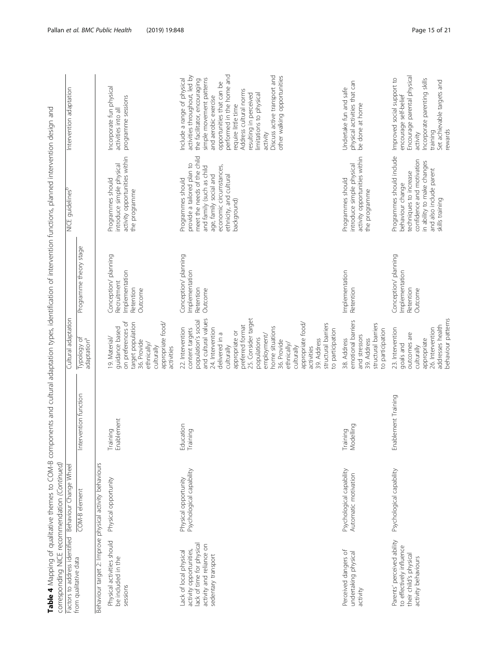| Table 4 Mapping of qualitative themes to COM-B components and cultural adaptation types, identification of intervention functions, planned intervention design and<br>corresponding NICE recommendation (Continued) |                                                          |                        |                                                                                                                                                                                                                                                                                                                                                                                              |                                                                              |                                                                                                                                                                                                            |                                                                                                                                                                                                                                                                                                                                                                                            |
|---------------------------------------------------------------------------------------------------------------------------------------------------------------------------------------------------------------------|----------------------------------------------------------|------------------------|----------------------------------------------------------------------------------------------------------------------------------------------------------------------------------------------------------------------------------------------------------------------------------------------------------------------------------------------------------------------------------------------|------------------------------------------------------------------------------|------------------------------------------------------------------------------------------------------------------------------------------------------------------------------------------------------------|--------------------------------------------------------------------------------------------------------------------------------------------------------------------------------------------------------------------------------------------------------------------------------------------------------------------------------------------------------------------------------------------|
| Factors to address identified Behaviour Change Wheel                                                                                                                                                                |                                                          |                        | Cultural adaptation                                                                                                                                                                                                                                                                                                                                                                          |                                                                              | NICE guidelines <sup>e</sup>                                                                                                                                                                               | Intervention adaptation                                                                                                                                                                                                                                                                                                                                                                    |
| from qualitative data                                                                                                                                                                                               | COM-B element                                            | Intervention function  | Typology of<br>adaptation <sup>a</sup>                                                                                                                                                                                                                                                                                                                                                       | Programme theory stage                                                       |                                                                                                                                                                                                            |                                                                                                                                                                                                                                                                                                                                                                                            |
|                                                                                                                                                                                                                     | Behaviour target 2: Improve physical activity behaviours |                        |                                                                                                                                                                                                                                                                                                                                                                                              |                                                                              |                                                                                                                                                                                                            |                                                                                                                                                                                                                                                                                                                                                                                            |
| Physical activities should<br>be included in the<br>sessions                                                                                                                                                        | Physical opportunity                                     | Enablement<br>Training | on preferences of<br>target population<br>appropriate food/<br>guidance based<br>19. Material/<br>36. Provide<br>ethnically/<br>culturally<br>activities                                                                                                                                                                                                                                     | Conception/planning<br>Implementation<br>Recruitment<br>Retention<br>Outcome | activity opportunities within<br>introduce simple physical<br>Programmes should<br>the programme                                                                                                           | Incorporate fun physical<br>programme sessions<br>activities into all                                                                                                                                                                                                                                                                                                                      |
| lack of time for physical<br>activity and reliance on<br>activity opportunities,<br>Lack of local physical<br>sedentary transport                                                                                   | Psychological capability<br>Physical opportunity         | Education<br>Training  | and cultural values<br>25. Consider target<br>population's social<br>appropriate food/<br>structural barriers<br>preferred format<br>home situations<br>22. Intervention<br>content targets<br>24. Intervention<br>to participation<br>appropriate or<br>delivered in a<br>employment/<br>populations<br>39. Address<br>36. Provide<br>ethnically/<br>culturally<br>activities<br>culturally | Conception/planning<br>Implementation<br>Retention<br>Outcome                | meet the needs of the child<br>provide a tailored plan to<br>and family (such as child<br>economic circumstances,<br>age, family social and<br>ethnicity, and cultural<br>Programmes should<br>background) | performed in the home and<br>Discuss active transport and<br>activities throughout, led by<br>other walking opportunities<br>simple movement patterns<br>nclude a range of physical<br>the facilitator, encouraging<br>opportunities that can be<br>Address cultural norms<br>limitations to physical<br>resulting in perceived<br>and aerobic exercise<br>require little time<br>activity |
| Perceived dangers of<br>undertaking physical<br>activity                                                                                                                                                            | Psychological capability<br>Automatic motivation         | Modelling<br>Training  | emotional barriers<br>structural barriers<br>to participation<br>and stressors<br>39. Address<br>38. Address                                                                                                                                                                                                                                                                                 | Implementation<br>Retention                                                  | activity opportunities within<br>introduce simple physical<br>Programmes should<br>the programme                                                                                                           | physical activities that can<br>Undertake fun and safe<br>be done at home                                                                                                                                                                                                                                                                                                                  |
| Parents' perceived ability<br>to effectively influence<br>their child's physical<br>activity behaviours                                                                                                             | Psychological capability                                 | Enablement Training    | behaviour patterns<br>addresses health<br>26. Intervention<br>23. Intervention<br>outcomes are<br>appropriate<br>goals and<br>culturally                                                                                                                                                                                                                                                     | Conception/planning<br>Implementation<br>Retention<br>Outcome                | Programmes should include<br>confidence and motivation<br>in ability to make changes<br>and also include parent<br>techniques to increase<br>behaviour change<br>skills training                           | Encourage parental physical<br>Improved social support to<br>Incorporate parenting skills<br>Set achievable targets and<br>encourage self-belief<br>rewards<br>training<br>activity                                                                                                                                                                                                        |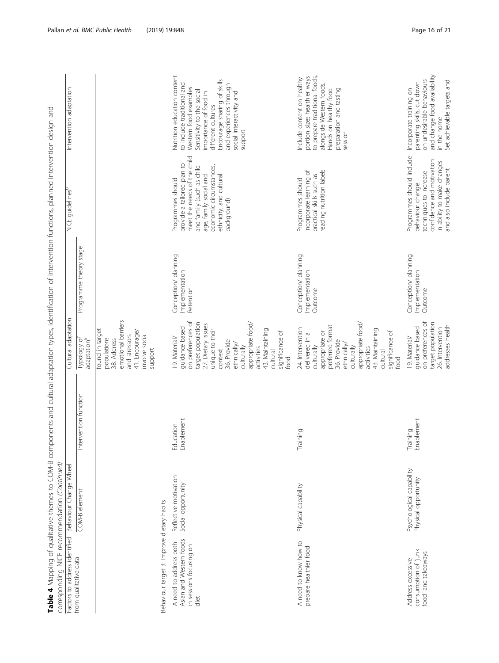| corresponding NICE recommendation (Continued)                                        |                                                  | Table 4 Mapping of qualitative themes to COM-B components and cultural adaptation types, identification of intervention functions, planned intervention design and |                                                                                                                                                                                                                                                                        |                                                    |                                                                                                                                                                                                            |                                                                                                                                                                                                                                                                 |
|--------------------------------------------------------------------------------------|--------------------------------------------------|--------------------------------------------------------------------------------------------------------------------------------------------------------------------|------------------------------------------------------------------------------------------------------------------------------------------------------------------------------------------------------------------------------------------------------------------------|----------------------------------------------------|------------------------------------------------------------------------------------------------------------------------------------------------------------------------------------------------------------|-----------------------------------------------------------------------------------------------------------------------------------------------------------------------------------------------------------------------------------------------------------------|
| Factors to address identified Behaviour Change Wheel                                 |                                                  |                                                                                                                                                                    | Cultural adaptation                                                                                                                                                                                                                                                    |                                                    | NICE guidelines <sup>E</sup>                                                                                                                                                                               | Intervention adaptation                                                                                                                                                                                                                                         |
| from qualitative data                                                                | COM-B element                                    | Intervention function                                                                                                                                              | Typology of<br>adaptation <sup>a</sup>                                                                                                                                                                                                                                 | Programme theory stage                             |                                                                                                                                                                                                            |                                                                                                                                                                                                                                                                 |
|                                                                                      |                                                  |                                                                                                                                                                    | emotional barriers<br>found in target<br>41. Encourage/<br>involve social<br>and stressors<br>populations<br>38. Address<br>support                                                                                                                                    |                                                    |                                                                                                                                                                                                            |                                                                                                                                                                                                                                                                 |
| Behaviour target 3: Improve dietary habits                                           |                                                  |                                                                                                                                                                    |                                                                                                                                                                                                                                                                        |                                                    |                                                                                                                                                                                                            |                                                                                                                                                                                                                                                                 |
| Asian and Western foods<br>A need to address both<br>in sessions focusing on<br>diet | Reflective motivation<br>Social opportunity      | Education<br>Enablement                                                                                                                                            | on preferences of<br>target population<br>appropriate food/<br>27. Dietary issues<br>guidance based<br>unique to their<br>43. Maintaining<br>significance of<br>19. Material/<br>36. Provide<br>ethnically/<br>culturally<br>activities<br>context<br>cultural<br>food | Conception/planning<br>Implementation<br>Retention | meet the needs of the child<br>provide a tailored plan to<br>and family (such as child<br>economic circumstances,<br>age, family social and<br>ethnicity, and cultural<br>Programmes should<br>background) | Nutrition education content<br>Encourage sharing of skills<br>to include traditional and<br>and experiences through<br>Western food examples<br>Sensitivity to the social<br>importance of food in<br>social interactivity and<br>different cultures<br>support |
| A need to know how to<br>prepare healthier food                                      | Physical capability                              | Training                                                                                                                                                           | appropriate food/<br>preferred format<br>24. Intervention<br>43. Maintaining<br>significance of<br>appropriate or<br>delivered in a<br>36. Provide<br>ethnically/<br>culturally<br>activities<br>culturally<br>cultural<br>food                                        | Conception/planning<br>Implementation<br>Outcome   | reading nutrition labels<br>incorporate learning of<br>practical skills such as<br>Programmes should                                                                                                       | to prepare traditional foods,<br>portion sizes healthier ways<br>Include content on healthy<br>alongside Western foods.<br>preparation and tasting<br>Hands on healthy food<br>session                                                                          |
| consumption of 'junk<br>food' and takeaways<br>Address excessive                     | Psychological capability<br>Physical opportunity | Training<br>Enablement                                                                                                                                             | on preferences of<br>target population<br>addresses health<br>guidance based<br>26. Intervention<br>19. Material/                                                                                                                                                      | Conception/planning<br>Implementation<br>Outcome   | Programmes should include<br>confidence and motivation<br>in ability to make changes<br>and also include parent<br>techniques to increase<br>behaviour change                                              | and change food availability<br>on undesirable behaviours<br>Set achievable targets and<br>parenting skills, cut down<br>Incorporate training on<br>in the home                                                                                                 |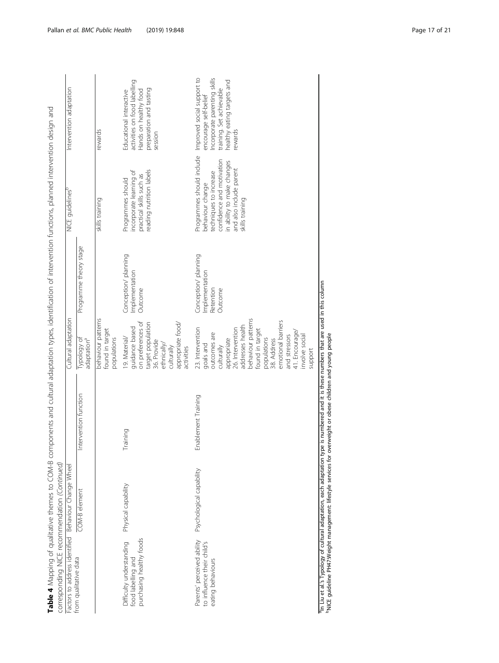|                                                                                                                                                                    | Intervention adaptation                                                       |                                        | rewards                                              | activities on food labelling<br>preparation and tasting<br>Hands on healthy food<br>Educational interactive<br>session                                  | Incorporate parenting skills<br>Improved social support to<br>healthy eating targets and<br>training. Set achievable<br>encourage self-belief<br>ewards                                                                                                                         |
|--------------------------------------------------------------------------------------------------------------------------------------------------------------------|-------------------------------------------------------------------------------|----------------------------------------|------------------------------------------------------|---------------------------------------------------------------------------------------------------------------------------------------------------------|---------------------------------------------------------------------------------------------------------------------------------------------------------------------------------------------------------------------------------------------------------------------------------|
|                                                                                                                                                                    | NICE guidelines <sup>p</sup>                                                  |                                        | skills training                                      | eading nutrition labels<br>incorporate learning of<br>practical skills such as<br>Programmes should                                                     | Programmes should include<br>confidence and motivation<br>in ability to make changes<br>and also include parent<br>techniques to increase<br>behaviour change<br>skills training                                                                                                |
| Table 4 Mapping of qualitative themes to COM-B components and cultural adaptation types, identification of intervention functions, planned intervention design and | Cultural adaptation                                                           | Programme theory stage                 |                                                      | Conception/planning<br>Implementation<br>Outcome                                                                                                        | Conception/planning<br>mplementation<br>Retention<br>Outcome                                                                                                                                                                                                                    |
|                                                                                                                                                                    |                                                                               | adaptation <sup>a</sup><br>Typology of | behaviour patterns<br>found in target<br>populations | on preferences of<br>appropriate food<br>target population<br>guidance based<br>19. Material/<br>36. Provide<br>ethnically/<br>culturally<br>activities | behaviour patterns<br>emotional barriers<br>addresses health<br>23. Intervention<br>26. Intervention<br>found in target<br>41. Encourage/<br>outcomes are<br>and stressors<br>involve social<br>populations<br>appropriate<br>38. Address<br>goals and<br>culturally<br>support |
|                                                                                                                                                                    |                                                                               | Intervention function                  |                                                      | Training                                                                                                                                                | Enablement Training                                                                                                                                                                                                                                                             |
|                                                                                                                                                                    |                                                                               | <b>COM-B</b> element                   |                                                      | Physical capability                                                                                                                                     | Psychological capability                                                                                                                                                                                                                                                        |
| corresponding NICE recommendation (Continued)                                                                                                                      | Factors to address identified Behaviour Change Wheel<br>from qualitative data |                                        |                                                      | food labelling and<br>purchasing healthy foods<br>Difficulty understanding                                                                              | Parents' perceived ability<br>to influence their child's<br>eating behaviours                                                                                                                                                                                                   |

<sup>a</sup>n Liu et al.'s Typology of cultural adaptation, each adaptation type is numbered and it is these numbers that are used in this column<br><sup>b</sup>NICE guideline PH47:Weight management: lifestyle services for overweight or obese an Liu et al.'s Typology of cultural adaptation, each adaptation type is numbered and it is these numbers that are used in this column and it is these numbers that are used in this column bNICE guideline PH47:Weight management: lifestyle services for overweight or obese children and young people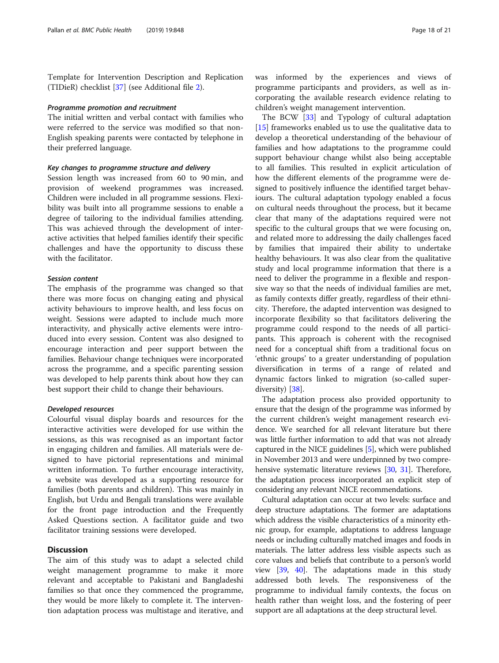Template for Intervention Description and Replication (TIDieR) checklist [[37\]](#page-20-0) (see Additional file [2\)](#page-18-0).

#### Programme promotion and recruitment

The initial written and verbal contact with families who were referred to the service was modified so that non-English speaking parents were contacted by telephone in their preferred language.

#### Key changes to programme structure and delivery

Session length was increased from 60 to 90 min, and provision of weekend programmes was increased. Children were included in all programme sessions. Flexibility was built into all programme sessions to enable a degree of tailoring to the individual families attending. This was achieved through the development of interactive activities that helped families identify their specific challenges and have the opportunity to discuss these with the facilitator.

#### Session content

The emphasis of the programme was changed so that there was more focus on changing eating and physical activity behaviours to improve health, and less focus on weight. Sessions were adapted to include much more interactivity, and physically active elements were introduced into every session. Content was also designed to encourage interaction and peer support between the families. Behaviour change techniques were incorporated across the programme, and a specific parenting session was developed to help parents think about how they can best support their child to change their behaviours.

#### Developed resources

Colourful visual display boards and resources for the interactive activities were developed for use within the sessions, as this was recognised as an important factor in engaging children and families. All materials were designed to have pictorial representations and minimal written information. To further encourage interactivity, a website was developed as a supporting resource for families (both parents and children). This was mainly in English, but Urdu and Bengali translations were available for the front page introduction and the Frequently Asked Questions section. A facilitator guide and two facilitator training sessions were developed.

#### **Discussion**

The aim of this study was to adapt a selected child weight management programme to make it more relevant and acceptable to Pakistani and Bangladeshi families so that once they commenced the programme, they would be more likely to complete it. The intervention adaptation process was multistage and iterative, and was informed by the experiences and views of programme participants and providers, as well as incorporating the available research evidence relating to children's weight management intervention.

The BCW [[33\]](#page-20-0) and Typology of cultural adaptation [[15\]](#page-19-0) frameworks enabled us to use the qualitative data to develop a theoretical understanding of the behaviour of families and how adaptations to the programme could support behaviour change whilst also being acceptable to all families. This resulted in explicit articulation of how the different elements of the programme were designed to positively influence the identified target behaviours. The cultural adaptation typology enabled a focus on cultural needs throughout the process, but it became clear that many of the adaptations required were not specific to the cultural groups that we were focusing on, and related more to addressing the daily challenges faced by families that impaired their ability to undertake healthy behaviours. It was also clear from the qualitative study and local programme information that there is a need to deliver the programme in a flexible and responsive way so that the needs of individual families are met, as family contexts differ greatly, regardless of their ethnicity. Therefore, the adapted intervention was designed to incorporate flexibility so that facilitators delivering the programme could respond to the needs of all participants. This approach is coherent with the recognised need for a conceptual shift from a traditional focus on 'ethnic groups' to a greater understanding of population diversification in terms of a range of related and dynamic factors linked to migration (so-called superdiversity) [\[38](#page-20-0)].

The adaptation process also provided opportunity to ensure that the design of the programme was informed by the current children's weight management research evidence. We searched for all relevant literature but there was little further information to add that was not already captured in the NICE guidelines [\[5\]](#page-19-0), which were published in November 2013 and were underpinned by two compre-hensive systematic literature reviews [\[30,](#page-20-0) [31\]](#page-20-0). Therefore, the adaptation process incorporated an explicit step of considering any relevant NICE recommendations.

Cultural adaptation can occur at two levels: surface and deep structure adaptations. The former are adaptations which address the visible characteristics of a minority ethnic group, for example, adaptations to address language needs or including culturally matched images and foods in materials. The latter address less visible aspects such as core values and beliefs that contribute to a person's world view [\[39,](#page-20-0) [40\]](#page-20-0). The adaptations made in this study addressed both levels. The responsiveness of the programme to individual family contexts, the focus on health rather than weight loss, and the fostering of peer support are all adaptations at the deep structural level.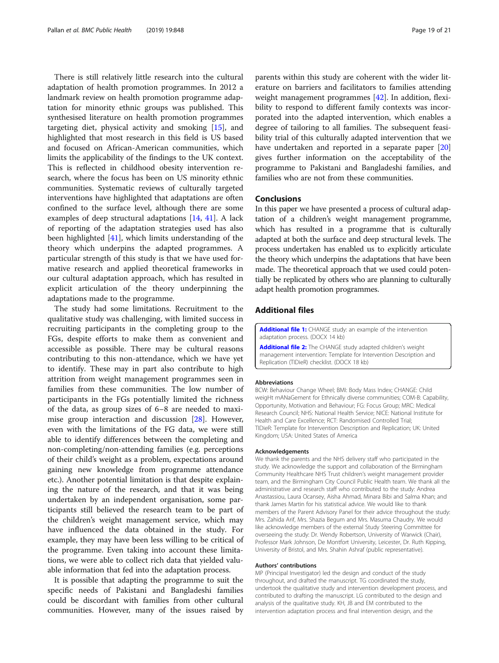<span id="page-18-0"></span>There is still relatively little research into the cultural adaptation of health promotion programmes. In 2012 a landmark review on health promotion programme adaptation for minority ethnic groups was published. This synthesised literature on health promotion programmes targeting diet, physical activity and smoking [\[15](#page-19-0)], and highlighted that most research in this field is US based and focused on African-American communities, which limits the applicability of the findings to the UK context. This is reflected in childhood obesity intervention research, where the focus has been on US minority ethnic communities. Systematic reviews of culturally targeted interventions have highlighted that adaptations are often confined to the surface level, although there are some examples of deep structural adaptations [\[14](#page-19-0), [41\]](#page-20-0). A lack of reporting of the adaptation strategies used has also been highlighted [[41\]](#page-20-0), which limits understanding of the theory which underpins the adapted programmes. A particular strength of this study is that we have used formative research and applied theoretical frameworks in our cultural adaptation approach, which has resulted in explicit articulation of the theory underpinning the adaptations made to the programme.

The study had some limitations. Recruitment to the qualitative study was challenging, with limited success in recruiting participants in the completing group to the FGs, despite efforts to make them as convenient and accessible as possible. There may be cultural reasons contributing to this non-attendance, which we have yet to identify. These may in part also contribute to high attrition from weight management programmes seen in families from these communities. The low number of participants in the FGs potentially limited the richness of the data, as group sizes of 6–8 are needed to maximise group interaction and discussion [[28\]](#page-19-0). However, even with the limitations of the FG data, we were still able to identify differences between the completing and non-completing/non-attending families (e.g. perceptions of their child's weight as a problem, expectations around gaining new knowledge from programme attendance etc.). Another potential limitation is that despite explaining the nature of the research, and that it was being undertaken by an independent organisation, some participants still believed the research team to be part of the children's weight management service, which may have influenced the data obtained in the study. For example, they may have been less willing to be critical of the programme. Even taking into account these limitations, we were able to collect rich data that yielded valuable information that fed into the adaptation process.

It is possible that adapting the programme to suit the specific needs of Pakistani and Bangladeshi families could be discordant with families from other cultural communities. However, many of the issues raised by

parents within this study are coherent with the wider literature on barriers and facilitators to families attending weight management programmes [[42](#page-20-0)]. In addition, flexibility to respond to different family contexts was incorporated into the adapted intervention, which enables a degree of tailoring to all families. The subsequent feasibility trial of this culturally adapted intervention that we have undertaken and reported in a separate paper [[20](#page-19-0)] gives further information on the acceptability of the programme to Pakistani and Bangladeshi families, and families who are not from these communities.

#### Conclusions

In this paper we have presented a process of cultural adaptation of a children's weight management programme, which has resulted in a programme that is culturally adapted at both the surface and deep structural levels. The process undertaken has enabled us to explicitly articulate the theory which underpins the adaptations that have been made. The theoretical approach that we used could potentially be replicated by others who are planning to culturally adapt health promotion programmes.

#### Additional files

[Additional file 1:](https://doi.org/10.1186/s12889-019-7159-5) CHANGE study: an example of the intervention adaptation process. (DOCX 14 kb)

[Additional file 2:](https://doi.org/10.1186/s12889-019-7159-5) The CHANGE study adapted children's weight management intervention: Template for Intervention Description and Replication (TIDieR) checklist. (DOCX 18 kb)

#### Abbreviations

BCW: Behaviour Change Wheel; BMI: Body Mass Index; CHANGE: Child weigHt mANaGement for Ethnically diverse communities; COM-B: Capability, Opportunity, Motivation and Behaviour; FG: Focus Group; MRC: Medical Research Council; NHS: National Health Service; NICE: National Institute for Health and Care Excellence; RCT: Randomised Controlled Trial; TIDieR: Template for Intervention Description and Replication; UK: United Kingdom; USA: United States of America

#### Acknowledgements

We thank the parents and the NHS delivery staff who participated in the study. We acknowledge the support and collaboration of the Birmingham Community Healthcare NHS Trust children's weight management provider team, and the Birmingham City Council Public Health team. We thank all the administrative and research staff who contributed to the study: Andrea Anastassiou, Laura Ocansey, Aisha Ahmad, Minara Bibi and Salma Khan; and thank James Martin for his statistical advice. We would like to thank members of the Parent Advisory Panel for their advice throughout the study: Mrs. Zahida Arif, Mrs. Shazia Begum and Mrs. Masuma Chaudry. We would like acknowledge members of the external Study Steering Committee for overseeing the study: Dr. Wendy Robertson, University of Warwick (Chair), Professor Mark Johnson, De Montfort University, Leicester, Dr. Ruth Kipping, University of Bristol, and Mrs. Shahin Ashraf (public representative).

#### Authors' contributions

MP (Principal Investigator) led the design and conduct of the study throughout, and drafted the manuscript. TG coordinated the study, undertook the qualitative study and intervention development process, and contributed to drafting the manuscript. LG contributed to the design and analysis of the qualitative study. KH, JB and EM contributed to the intervention adaptation process and final intervention design, and the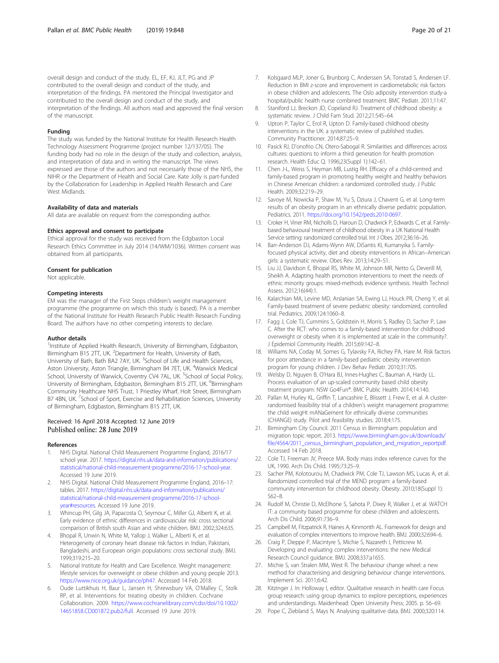<span id="page-19-0"></span>overall design and conduct of the study. EL, EF, KJ, JLT, PG and JP contributed to the overall design and conduct of the study, and interpretation of the findings. PA mentored the Principal Investigator and contributed to the overall design and conduct of the study, and interpretation of the findings. All authors read and approved the final version of the manuscript.

#### Funding

The study was funded by the National Institute for Health Research Health Technology Assessment Programme (project number 12/137/05). The funding body had no role in the design of the study and collection, analysis, and interpretation of data and in writing the manuscript. The views expressed are those of the authors and not necessarily those of the NHS, the NIHR or the Department of Health and Social Care. Kate Jolly is part-funded by the Collaboration for Leadership in Applied Health Research and Care West Midlands.

#### Availability of data and materials

All data are available on request from the corresponding author.

#### Ethics approval and consent to participate

Ethical approval for the study was received from the Edgbaston Local Research Ethics Committee in July 2014 (14/WM/1036). Written consent was obtained from all participants.

#### Consent for publication

Not applicable.

#### Competing interests

EM was the manager of the First Steps children's weight management programme (the programme on which this study is based). PA is a member of the National Institute for Health Research Public Health Research Funding Board. The authors have no other competing interests to declare.

#### Author details

<sup>1</sup>Institute of Applied Health Research, University of Birmingham, Edgbaston, Birmingham B15 2TT, UK. <sup>2</sup>Department for Health, University of Bath, University of Bath, Bath BA2 7AY, UK. <sup>3</sup>School of Life and Health Sciences, Aston University, Aston Triangle, Birmingham B4 7ET, UK. <sup>4</sup>Warwick Medical School, University of Warwick, Coventry CV4 7AL, UK. <sup>5</sup>School of Social Policy, University of Birmingham, Edgbaston, Birmingham B15 2TT, UK. <sup>6</sup>Birmingham Community Healthcare NHS Trust, 1 Priestley Wharf, Holt Street, Birmingham B7 4BN, UK. <sup>7</sup>School of Sport, Exercise and Rehabilitation Sciences, University of Birmingham, Edgbaston, Birmingham B15 2TT, UK.

## Received: 16 April 2018 Accepted: 12 June 2019<br>Published online: 28 June 2019

#### References

- 1. NHS Digital. National Child Measurement Programme England, 2016/17 school year. 2017. [https://digital.nhs.uk/data-and-information/publications/](https://digital.nhs.uk/data-and-information/publications/statistical/national-child-measurement-programme/2016-17-school-year) [statistical/national-child-measurement-programme/2016-17-school-year](https://digital.nhs.uk/data-and-information/publications/statistical/national-child-measurement-programme/2016-17-school-year). Accessed 19 June 2019.
- 2. NHS Digital. National Child Measurement Programme England, 2016–17: tables. 2017. [https://digital.nhs.uk/data-and-information/publications/](https://digital.nhs.uk/data-and-information/publications/statistical/national-child-measurement-programme/2016-17-school-year#resources) [statistical/national-child-measurement-programme/2016-17-school](https://digital.nhs.uk/data-and-information/publications/statistical/national-child-measurement-programme/2016-17-school-year#resources)[year#resources.](https://digital.nhs.uk/data-and-information/publications/statistical/national-child-measurement-programme/2016-17-school-year#resources) Accessed 19 June 2019.
- 3. Whincup PH, Gilg JA, Papacosta O, Seymour C, Miller GJ, Alberti K, et al. Early evidence of ethnic differences in cardiovascular risk: cross sectional comparison of British south Asian and white children. BMJ. 2002;324:635.
- Bhopal R, Unwin N, White M, Yallop J, Walker L, Alberti K, et al. Heterogeneity of coronary heart disease risk factors in Indian, Pakistani, Bangladeshi, and European origin populations: cross sectional study. BMJ. 1999;319:215–20.
- 5. National Institute for Health and Care Excellence. Weight management: lifestyle services for overweight or obese children and young people 2013. <https://www.nice.org.uk/guidance/ph47>. Accessed 14 Feb 2018.
- 6. Oude Luttikhuis H, Baur L, Jansen H, Shrewsbury VA, O'Malley C, Stolk RP, et al. Interventions for treating obesity in children. Cochrane Collaboration. 2009. [https://www.cochranelibrary.com/cdsr/doi/10.1002/](https://www.cochranelibrary.com/cdsr/doi/10.1002/14651858.CD001872.pub2/full) [14651858.CD001872.pub2/full.](https://www.cochranelibrary.com/cdsr/doi/10.1002/14651858.CD001872.pub2/full) Accessed 19 June 2019.
- Reduction in BMI z-score and improvement in cardiometabolic risk factors in obese children and adolescents. The Oslo adiposity intervention study-a hospital/public health nurse combined treatment. BMC Pediatr. 2011;11:47.
- 8. Staniford LJ, Breckon JD, Copeland RJ. Treatment of childhood obesity: a systematic review. J Child Fam Stud. 2012;21:545–64.
- 9. Upton P, Taylor C, Erol R, Upton D. Family-based childhood obesity interventions in the UK: a systematic review of published studies. Community Practitioner. 2014;87:25–9.
- 10. Pasick RJ, D'onofrio CN, Otero-Sabogal R. Similarities and differences across cultures: questions to inform a third generation for health promotion research. Health Educ Q. 1996;23(Suppl 1):142–61.
- 11. Chen J-L, Weiss S, Heyman MB, Lustig RH. Efficacy of a child-centred and family-based program in promoting healthy weight and healthy behaviors in Chinese American children: a randomized controlled study. J Public Health. 2009;32:219–29.
- 12. Savoye M, Nowicka P, Shaw M, Yu S, Dziura J, Chavent G, et al. Long-term results of an obesity program in an ethnically diverse pediatric population. Pediatrics. 2011. <https://doi.org/10.1542/peds.2010-0697>.
- 13. Croker H, Viner RM, Nicholls D, Haroun D, Chadwick P, Edwards C, et al. Familybased behavioural treatment of childhood obesity in a UK National Health Service setting: randomized controlled trial. Int J Obes. 2012;36:16–26.
- 14. Barr-Anderson DJ, Adams-Wynn AW, DiSantis KI, Kumanyika S. Familyfocused physical activity, diet and obesity interventions in African–American girls: a systematic review. Obes Rev. 2013;14:29–51.
- 15. Liu JJ, Davidson E, Bhopal RS, White M, Johnson MR, Netto G, Deverill M, Sheikh A. Adapting health promotion interventions to meet the needs of ethnic minority groups: mixed-methods evidence synthesis. Health Technol Assess. 2012;16(44):1.
- 16. Kalarchian MA, Levine MD, Arslanian SA, Ewing LJ, Houck PR, Cheng Y, et al. Family-based treatment of severe pediatric obesity: randomized, controlled trial. Pediatrics. 2009;124:1060–8.
- 17. Fagg J, Cole TJ, Cummins S, Goldstein H, Morris S, Radley D, Sacher P, Law C. After the RCT: who comes to a family-based intervention for childhood overweight or obesity when it is implemented at scale in the community?. J Epidemiol Community Health. 2015;69:142–8.
- 18. Williams NA, Coday M, Somes G, Tylavsky FA, Richey PA, Hare M. Risk factors for poor attendance in a family-based pediatric obesity intervention program for young children. J Dev Behav Pediatr. 2010;31:705.
- 19. Welsby D, Nguyen B, O'Hara BJ, Innes-Hughes C, Bauman A, Hardy LL. Process evaluation of an up-scaled community based child obesity treatment program: NSW Go4Fun®. BMC Public Health. 2014;14:140.
- Pallan M, Hurley KL, Griffin T, Lancashire E, Blissett J, Frew E, et al. A clusterrandomised feasibility trial of a children's weight management programme: the child weigHt mANaGement for ethnically diverse communities (CHANGE) study. Pilot and feasibility studies. 2018;4:175.
- 21. Birmingham City Council. 2011 Census in Birmingham: population and migration topic report. 2013. [https://www.birmingham.gov.uk/downloads/](https://www.birmingham.gov.uk/downloads/file/4564/2011_census_birmingham_population_and_migration_reportpdf) [file/4564/2011\\_census\\_birmingham\\_population\\_and\\_migration\\_reportpdf](https://www.birmingham.gov.uk/downloads/file/4564/2011_census_birmingham_population_and_migration_reportpdf). Accessed 14 Feb 2018.
- 22. Cole TJ, Freeman JV, Preece MA. Body mass index reference curves for the UK, 1990. Arch Dis Child. 1995;73:25–9.
- 23. Sacher PM, Kolotourou M, Chadwick PM, Cole TJ, Lawson MS, Lucas A, et al. Randomized controlled trial of the MEND program: a family-based community intervention for childhood obesity. Obesity. 2010;18(Suppl 1): S62–8.
- 24. Rudolf M, Christie D, McElhone S, Sahota P, Dixey R, Walker J, et al. WATCH IT: a community based programme for obese children and adolescents. Arch Dis Child. 2006;91:736–9.
- 25. Campbell M, Fitzpatrick R, Haines A, Kinmonth AL. Framework for design and evaluation of complex interventions to improve health. BMJ. 2000;32:694–6.
- 26. Craig P, Dieppe P, Macintyre S, Michie S, Nazareth I, Petticrew M. Developing and evaluating complex interventions: the new Medical Research Council guidance. BMJ. 2008;337:a1655.
- 27. Michie S, van Stralen MM, West R. The behaviour change wheel: a new method for characterising and designing behaviour change interventions. Implement Sci. 2011;6:42.
- 28. Kitzinger J. In: Holloway I, editor. Qualitative research in health care Focus group research: using group dynamics to explore perceptions, experiences and understandings. Maidenhead: Open University Press; 2005. p. 56–69.
- 29. Pope C, Ziebland S, Mays N. Analysing qualitative data. BMJ. 2000;320:114.